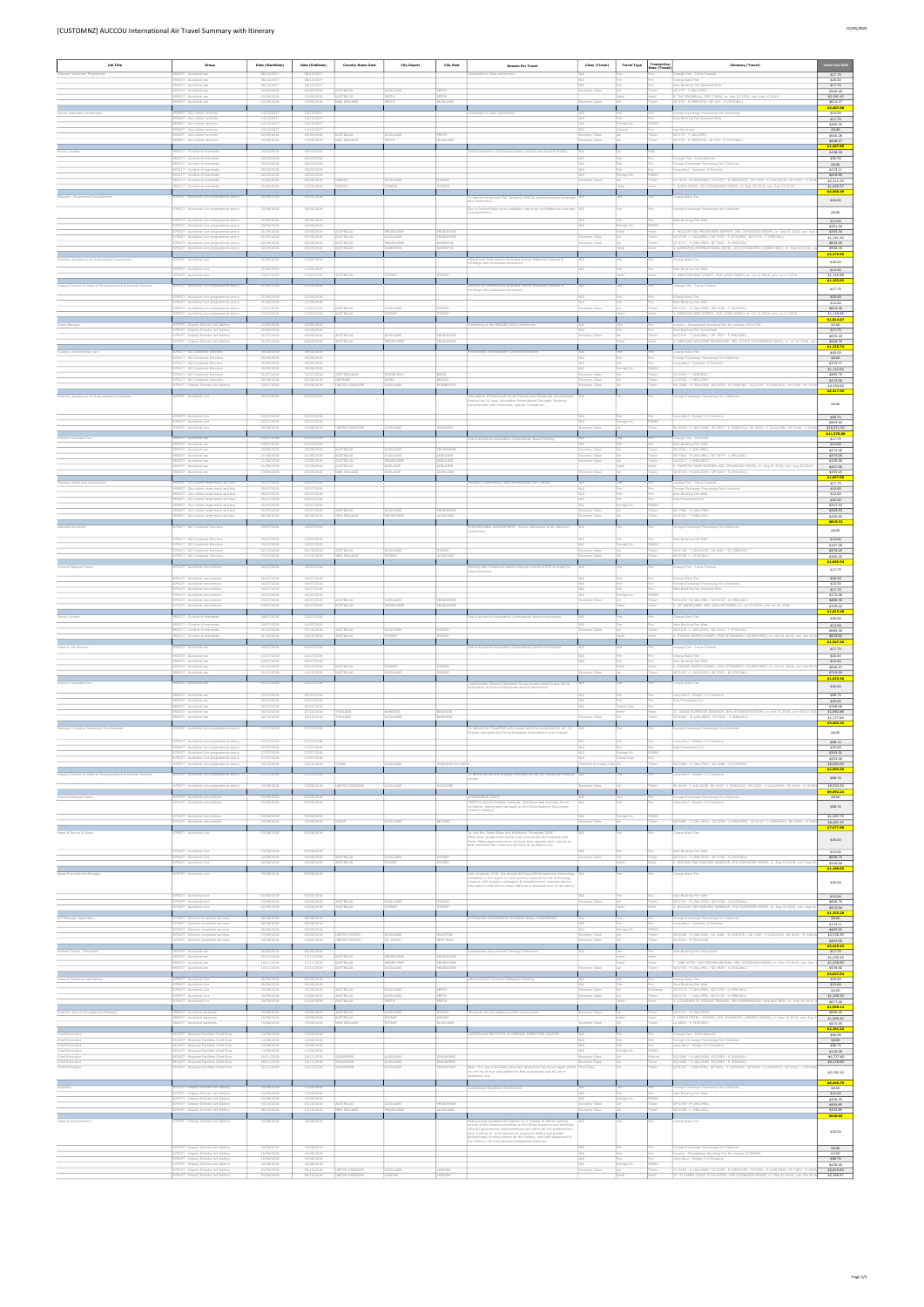| <b>Job Title</b>                                           | Group                                                                              | Date (StartDate)         | Date (EndDate)           | <b>Country Name Dest</b>      | <b>City Depart</b>      | <b>City Dest</b>          | <b>Reason For Travel</b>                                                                                                                | Class (Travel)                 | <b>Travel Type</b> | Transaction      | <b>Itinerary (Travel)</b>                                                                                                                                 | <b>Total Fare NZD</b>    |
|------------------------------------------------------------|------------------------------------------------------------------------------------|--------------------------|--------------------------|-------------------------------|-------------------------|---------------------------|-----------------------------------------------------------------------------------------------------------------------------------------|--------------------------------|--------------------|------------------|-----------------------------------------------------------------------------------------------------------------------------------------------------------|--------------------------|
| Manager Volunteer Programme                                | 85500T - Auckland zoo                                                              | 08/12/2017               | 08/12/2017               |                               |                         |                           | Volunteers in Zoos conference                                                                                                           | IN/A                           |                    | Desc (Travel)    | hange Fee - Trans Tasman                                                                                                                                  | \$17.75                  |
|                                                            | 85500T - Auckland zor<br>85500T - Auckland zoo                                     | 08/12/2017<br>08/12/2017 | 08/12/2017<br>08/12/2017 |                               |                         |                           |                                                                                                                                         | N/A                            |                    | Fee              | harge Back Fee<br>New Booking Fee Assisted Web                                                                                                            | \$20.00<br>\$17.75       |
|                                                            | 85500T - Auckland zoo<br>85500T - Auckland zoo                                     | 02/09/2018               | 02/09/2018               | AUSTRALIA<br><b>AUSTRALIA</b> | AUCKLAND<br>FRTH        | PERTH<br>PERTH            |                                                                                                                                         | Economy Class                  |                    | Ticket           | NZ 175 - T (AKL/PER)                                                                                                                                      | \$546.48                 |
|                                                            | 85500T - Auckland zoo                                                              | 02/09/2018<br>15/09/2018 | 10/09/2018<br>15/09/2018 | NEW ZEALAND                   |                         | UCKLAND                   |                                                                                                                                         | onomy Class                    |                    | <b>Ticket</b>    | 8 THE PENINSULA, PER (TWIN), in: Sep 02 2018, out: Sep 10 2018<br>QF 576 - S (PER/SYD) QF 147 - S (SYD/AKL                                                | \$2,191.43<br>\$614.27   |
| enior Volunteer Coordinator                                |                                                                                    | 14/12/2017               | 14/12/201                |                               |                         |                           | teers in Zoos conference                                                                                                                |                                |                    |                  | eign Exchange Processing Fee Delivered                                                                                                                    | \$3,407.68<br>\$10.00    |
|                                                            | 85586T - Zoo visitor services                                                      | 14/12/2017               | 14/12/2017               |                               |                         |                           |                                                                                                                                         | N/A                            |                    | Fee              | New Booking Fee Assisted Web                                                                                                                              | \$17.75                  |
|                                                            | 85586T - Zoo visitor services<br>SSS6T - Zoo visitor service                       | 14/12/2017<br>14/12/2017 | 14/12/2017<br>14/12/2017 |                               |                         |                           |                                                                                                                                         | N/A                            | Foreign Ex         | FOREX            | rier to zoo                                                                                                                                               | \$285.55<br>\$0.00       |
|                                                            | 85586T - Zoo visitor services<br>85586T - Zoo visitor services                     | 02/09/2018<br>15/09/2018 | 02/09/2018<br>15/09/2018 | AUSTRALIA<br>NEW ZEALAND      | AUCKLAND<br>ERTH        | PERTH<br>AUCKLAND         |                                                                                                                                         | Economy Class<br>nomy Class    |                    | Ticket<br>Ticket | NZ 175 - T (AKL/PER)<br>OF 576 - S (PER/SYD) OF 147 - S (SYD/AKL)                                                                                         | \$546.28<br>\$608.27     |
| Senior Curator                                             | 85521T - Curator of mammals                                                        | 20/03/2018               | 20/03/2018               |                               |                         |                           | 2018 Conference of European Assoc of Zoos and Aquaria (EAZA)                                                                            | N/A                            |                    |                  |                                                                                                                                                           | \$1,467.85               |
|                                                            | 85521T - Curator of mammals                                                        | 20/03/2018               | 20/03/2018               |                               |                         |                           |                                                                                                                                         | N/A                            |                    |                  | Change Fee - International                                                                                                                                | \$138.20<br>\$66.56      |
|                                                            | 85521T - Curator of mammal<br>85521T - Curator of mammals                          | 20/03/2018<br>20/03/2018 | 20/03/2018<br>20/03/2018 |                               |                         |                           |                                                                                                                                         |                                |                    |                  | Foreign Exchange Processing Fee Collected<br>Long Haul - Complex (5 Sectors)                                                                              | \$8.00<br>\$133.11       |
|                                                            | 85521T - Curator of mammals                                                        | 20/03/2018               | 20/03/2018               |                               | AUCKLAND                | ATHENS                    |                                                                                                                                         | N/A                            | Foreign Ex         | FOREX            |                                                                                                                                                           | \$416.95                 |
|                                                            | 85521T - Curator of mammals<br>SSS21T - Curator of mammals                         | 15/09/2018<br>16/09/2018 | 25/09/2018<br>23/09/2018 | GREECE                        | HENS                    |                           |                                                                                                                                         | Economy Class                  |                    | Ticket           | LH 7020 - S (AKL/HKG) LH 0731 - S (HKG/MUC) LH 1750 - S (MUC/ATH) LH 1753 - V (AT<br>ILISIA HOTEL, ATH (STANDARD ROOM), in: Sep 16 2018, out: Sep 23 2018 | \$2,214.30<br>\$1,429.37 |
| Manager, Programme Developmen                              | 7952T - Auckland Live programmes and p                                             | 20/06/2018               | 20/06/2018               |                               |                         |                           | o attend the annual PAC (formerly APACA) performing arts exchange                                                                       |                                |                    |                  | harge Back Fee                                                                                                                                            | \$4,406.49               |
|                                                            | 87952T - Auckland Live programmes and p                                            | 20/06/2018               | 20/06/2018               |                               |                         |                           | nd conference                                                                                                                           |                                |                    |                  | reign Exchange Processing Fee Collected                                                                                                                   | \$40.00                  |
|                                                            |                                                                                    |                          |                          |                               |                         |                           | Due to limited flight times available, had to go via Melbourne and stay N/A<br>wernight there                                           |                                |                    |                  |                                                                                                                                                           | \$8.00                   |
|                                                            | 87952T - Auckland Live programmes and p<br>87952T - Auckland Live programmes and p | 20/06/2018<br>20/06/2018 | 20/06/2018<br>20/06/2018 |                               |                         |                           |                                                                                                                                         | N/A<br>N/A                     | oreign Ex          | Fee<br>FOREX     | New Booking Fee Web                                                                                                                                       | \$12.64<br>\$281.59      |
|                                                            | 37952T - Auckland Live programmes and p                                            | 01/09/2018               | 02/09/2018               | <b>JISTRALL</b>               | <b>I ROURN</b>          | <b>IFI BOURN</b>          |                                                                                                                                         |                                |                    |                  | HOLIDAY INN MELBOURNE AIRPORT, MEL (STANDARD ROOM), in: Sep 01 2018, out: Se                                                                              | \$255.34                 |
|                                                            | 87952T - Auckland Live programmes and p<br>87952T - Auckland Live programmes and p | 01/09/2018<br>02/09/2018 | 07/09/2018<br>02/09/2018 | AUSTRALIA<br>AUSTRALIA        | AUCKLAND<br>MELBOURNE   | MELBOURNE<br>KARRATHA     |                                                                                                                                         | Economy Class<br>Economy Class |                    | Ticket<br>Ticket | NZ 0729 - L (AKL/MEL) NZ 7529 - T (KTA/PER) NZ 0176 - T (PER/AKL)<br>OF 0771 - S (MEL/PER) OF 2642 - S (PER/KTA)                                          | \$1,141.20<br>\$633.00   |
|                                                            | 87952T - Auckland Live programmes and p                                            | 02/09/2018               | 06/09/2018               | AUSTRALIA                     | KARRATHA                | CARRATHA                  |                                                                                                                                         |                                |                    |                  | 4 KARRATHA INTERNATIONAL HOTEL, KTA (STANDARD 1 QUEEN BED), in: Sep 02 2018,                                                                              | \$908.18<br>\$3,279.95   |
| Director, Auckland Live & Auckland Conventions             | 37950T - Auckland Live                                                             | 21/06/2018               | 21/06/2018               |                               |                         |                           | end Live Performance Australia annual Helpmann Awards &<br>etings with Australian promoters.                                            | N/A                            |                    |                  | Charge Back Fee                                                                                                                                           | \$20.00                  |
|                                                            | 87950T - Auckland Live                                                             | 21/06/2018               | 21/06/2018               |                               |                         |                           |                                                                                                                                         | N/A                            |                    |                  | New Booking Fee Web                                                                                                                                       | \$12.64                  |
|                                                            | 87950T - Auckland Live                                                             | 13/07/2018               | 17/07/2018               | <b>JSTRALIA</b>               |                         |                           |                                                                                                                                         |                                |                    |                  | 4 MERITON KENT STREET, SYD (KING ROOM), in: Jul 13 2018, out: Jul 17 2018                                                                                 | \$1,120.98<br>\$1,153.62 |
| Deputy Director & Head of Programming & Presenter Services | 952T - Auckland Live programmes and p                                              | 21/06/2018               | 21/06/2018               |                               |                         |                           | end Live Performance Australia annual Helpmann Awards &<br>etings with Australian promoters                                             |                                |                    |                  | hange Fee - Trans Tasmar                                                                                                                                  | \$17.75                  |
|                                                            | 87952T - Auckland Live programmes and p                                            | 21/06/2018               | 21/06/2018               |                               |                         |                           |                                                                                                                                         | N/A                            |                    | Fee              | Charge Back Fee                                                                                                                                           | \$20.00                  |
|                                                            | 87952T - Auckland Live programmes and p<br>37952T - Auckland Live programmes and p | 21/06/2018<br>13/07/2018 | 21/06/2018<br>17/07/2018 | <b>USTRALIA</b>               | UCKLAND                 | ONEY                      |                                                                                                                                         | N/A<br>conomy Class            |                    | Ticket           | New Booking Fee Web<br>NZ 0107 - S (AKL/SYD) NZ 0104 - T (SYD/AKL)                                                                                        | \$12.64<br>\$643.30      |
|                                                            | 87952T - Auckland Live programmes and p                                            | 13/07/2018               | 17/07/2018               | AUSTRALIA                     | YDNEY                   | <b>DNEY</b>               |                                                                                                                                         |                                |                    |                  | 4 MERITON KENT STREET. SYD (KING ROOM), in: Jul 13 2018, out: Jul 17 2018                                                                                 | \$1,120.98<br>\$1,814.67 |
| Retail Manager                                             | 87935T - Deputy Director Art Gallery                                               | 22/06/2018               | 22/06/2018               |                               |                         |                           | nting at the MSAANZ 2019 conference                                                                                                     | N/A                            |                    |                  | nvoice - Chargeback Handling Fee for costing 22919738<br>New Booking Fee Consultan                                                                        | \$3.00                   |
|                                                            | 87935T - Deputy Director Art Gallery<br>87935T - Deputy Director Art Gallery       | 22/06/2018<br>31/07/2018 | 22/06/2018<br>04/08/2018 | AUSTRALIA                     | AUCKLAND                | MELBOURNE                 |                                                                                                                                         | Economy Class                  |                    | Ticket           | NZ 0123 - T (AKL/MEL) NZ 7967 - T (MEL/AKL)                                                                                                               | \$17.75<br>\$655.20      |
|                                                            | 87935T - Deputy Director Art Gallery                                               | 31/07/2018               | 04/08/2018               | <b>AUSTRALIA</b>              | <b>IELBOURNE</b>        | <b>MELBOURNE</b>          |                                                                                                                                         |                                |                    |                  | 4 MERCURE WELCOME MELBOURNE, MEL (STATE GOVERNMENT RATE), in: Jul 31 2018, o                                                                              | \$549.79<br>\$1,225.74   |
| Curator, Contemporary Art                                  | 87921T - AG Curatorial Services                                                    | 29/06/2018               | 29/06/2018               |                               |                         |                           | essional Development Curatorial Research                                                                                                | N/A                            |                    | Fee              | Charge Back Fee                                                                                                                                           | \$40.00                  |
|                                                            | 87921T - AG Curatorial Services<br>37921T - AG Curatorial Service                  | 29/06/2018<br>29/06/2018 | 29/06/2018<br>29/06/2018 |                               |                         |                           |                                                                                                                                         | N/A                            |                    |                  | Foreign Exchange Processing Fee Collected<br>Long Haul - Complex (5 Sectors)                                                                              | \$8.00<br>\$133.11       |
|                                                            | 87921T - AG Curatorial Services<br>87921T - AG Curatorial Services                 | 29/06/2018<br>31/07/2018 | 29/06/2018<br>31/07/2018 | SWITZERLAND                   | <b>DINBURGH</b>         | BASEL                     |                                                                                                                                         | N/A<br>Economy Class           | Foreign Ex         | FOREX<br>Ticket  | U2 6918 - Y (EDI/BSL)                                                                                                                                     | \$1,143.00<br>\$485.70   |
|                                                            | 87921T - AG Curatorial Services                                                    | 02/08/2018               | 02/08/2018               | <b>JERMANY</b>                |                         | BERLIN                    |                                                                                                                                         | conomy Class                   |                    | icket            | 2 4634 - Y (BSL/SXF)                                                                                                                                      | \$273.58                 |
|                                                            | 87935T - Deputy Director Art Gallery                                               | 24/07/2018               | 05/08/2018               | UNITED KINGDOM                | AUCKLAND                | INBURGH                   |                                                                                                                                         | Economy Class                  |                    | Ticket           | SQ 0286 - M (AKL/SIN) SQ 0026 - M (SIN/FRA) SQ 2150 - M (FRA/EDI) LH 0169 - B (TXL                                                                        | \$4,334.00<br>\$6,417.39 |
| ector, Auckland Live & Auckland Conve                      | - Auckland Live                                                                    | 02/07/2018               | 02/07/2018               |                               |                         |                           | idance at Edinburgh Fringe Festival and Edinburgh International<br>Festival for 10 days. Accredited International Delegate. Business    |                                |                    |                  | eign Exchange Processing Fee Collected                                                                                                                    |                          |
|                                                            |                                                                                    |                          |                          |                               |                         |                           | relopment with Promoters, Agents, Companies.                                                                                            |                                |                    |                  |                                                                                                                                                           | \$8.00                   |
|                                                            | 7950T - Auckland Live<br>87950T - Auckland Live                                    | 02/07/2018<br>02/07/2018 | 02/07/2018<br>02/07/2018 |                               |                         |                           |                                                                                                                                         | N/A                            | Foreign Ex         | FOREX            | Long Haul - Simple (1-4 Sectors)                                                                                                                          | \$88.74                  |
|                                                            | 87950T - Auckland Live                                                             | 09/08/2018               | 22/08/2018               | NITED KINGDON                 | <b>JICKLAND</b>         | MODPA IS                  |                                                                                                                                         | <b>Business Class</b>          |                    | Ticket           | EK 0449 - C (AKL/DXB) EK 0027 - C (DXB/GLA) EK 0026 - C (GLA/DXB) EK 0448 - C (DX                                                                         | \$969.84<br>\$10,511.50  |
| Director Auckland Zoo                                      | 500T - Auckland zoo                                                                | 03/07/2018               | 03/07/2018               |                               |                         |                           | Coo & Aguarium Association (Australasia) Board Meeting                                                                                  |                                |                    |                  | Change Fee - Domestic                                                                                                                                     | \$11,578.08<br>\$17.75   |
|                                                            | 85500T - Auckland zoo<br>85500T - Auckland zoo                                     | 03/07/2018<br>20/08/2018 | 03/07/2018<br>20/08/2018 | AUSTRALIA                     | AUCKLAND                | MELBOURNE                 |                                                                                                                                         | N/A<br>Economy Class           |                    | Ticket           | New Booking Fee Web<br>JQ 0216 - Y (AKL/MEL)                                                                                                              | \$12.64<br>\$272.00      |
|                                                            | 85500T - Auckland zoo                                                              | 21/08/2018               | 21/08/2018               | AUSTRALIA                     | AUCKLAND                | ADELAIDE                  |                                                                                                                                         | Economy Class                  |                    | Ticket           | NZ 7964 - P (AKL/MEL) NZ 7679 - L (MEL/ADL)                                                                                                               | \$273.05                 |
|                                                            | 85500T - Auckland zoo<br>85500T - Auckland zoo                                     | 21/08/2018<br>21/08/2018 | 21/08/2018<br>23/08/2018 | AUSTRALIA<br>AUSTRALIA        | MELBOURNE<br>ADELAIDE   | ADELAIDE<br>ADELAIDE      |                                                                                                                                         | Economy Class                  |                    | Ticket<br>Hotel  | VA 0211 - V (MEL/ADL<br>2 MAJESTIC ROOF GARDEN, ADL (STANDARD ROOM), in: Aug 21 2018, out: Aug 23 2018                                                    | \$220.00<br>\$407.06     |
|                                                            | 85500T - Auckland zo                                                               | 23/08/2018               | 23/08/2018               | NEW ZEALAN                    | <b>ADELATDE</b>         | MICKI AND                 |                                                                                                                                         | my Clas                        |                    |                  | QF 0756 - S (ADL/SYD) QF 0149 - S (SYD/A                                                                                                                  | \$455.45<br>\$1,657.95   |
| Manager Sales and Commercial                               | 85580T - Zoo visitor experience and bus                                            | 05/07/2018               | 05/07/2018               |                               |                         |                           | MSAANZ CONFERENCE AND MELBOURNE GIFT SHOW                                                                                               | N/A                            |                    |                  | Change Fee - Trans Tasman                                                                                                                                 | \$17.75                  |
|                                                            | 5580T - Zoo visitor experience and bu<br>85580T - Zoo visitor experience and bus   | 05/07/2018<br>05/07/2018 | 05/07/2018<br>05/07/2018 |                               |                         |                           |                                                                                                                                         | N/A                            |                    |                  | eign Exchange Processing Fee Delivered<br>New Booking Fee Web                                                                                             | \$10.00<br>\$12.64       |
|                                                            | 85580T - Zoo visitor experience and bus<br>85580T - Zoo visitor experience and bus | 05/07/2018<br>05/07/2018 | 05/07/2018<br>05/07/2018 |                               |                         |                           |                                                                                                                                         | N/A                            | reign Ex           | <b>FORE</b> >    | Visa Processing Fee                                                                                                                                       | \$25.00                  |
|                                                            | 85580T - Zoo visitor experience and bus                                            | 31/07/2018               | 31/07/2018               | AUSTRALIA                     | AUCKLAND                | MELBOURNE                 |                                                                                                                                         | Economy Class                  |                    | Ticket           | NZ 7964 - S (AKL/MEL)                                                                                                                                     | \$207.43<br>\$249.55     |
|                                                            | 85580T - Zoo visitor experience and bus                                            | 06/08/2018               | 06/08/2018               | NEW ZEALAND                   | <b>IELBOURNE</b>        | AUCKLAND                  |                                                                                                                                         | onomy Class                    |                    | icket.           | VA 0167 - T (MEL/AKL)                                                                                                                                     | \$296.95<br>\$819.32     |
| Librarian/Archivist                                        | 7921T - AG Curatorial Services                                                     | 10/07/2018               | 10/07/2018               |                               |                         |                           | ROFESSIONAL DEVELOPMENT- Vernon Workshop & Art Libraries<br>Conference                                                                  |                                |                    |                  | reign Exchange Processing Fee Collected                                                                                                                   | \$8.00                   |
|                                                            | 87921T - AG Curatorial Services                                                    | 10/07/2018               | 10/07/2018               |                               |                         |                           |                                                                                                                                         | N/A                            |                    | Fee              | New Booking Fee Web                                                                                                                                       | \$12.64                  |
|                                                            | 37921T - AG Curatorial Services<br>87921T - AG Curatorial Services                 | 10/07/2018<br>02/10/2018 | 10/07/2018<br>05/10/2018 | AUSTRALIA                     | AUCKLAND                | SYDNEY                    |                                                                                                                                         | Economy Class                  | eign Ex<br>Air     | FOREX<br>Ticket  | VA 0140 - T (AKL/SYD) VA 0661 - Q (CBR/SYD)                                                                                                               | \$187.00<br>\$479.45     |
|                                                            | 87921T - AG Curatorial Services                                                    | 07/10/2018               | 07/10/2018               | NEW ZEALAND                   | <b>SYDNEY</b>           | ALICKLAND                 |                                                                                                                                         | conomy Class                   |                    | Ticket           | NZ 0706 - L (SYD/AKL)                                                                                                                                     | \$382.25                 |
| General Manager Sales                                      | 7910T - Auckland conventions                                                       | 16/07/2018               | 16/07/2018               |                               |                         |                           | Meeting with Melbourne based corporate clients & PCO to scope for<br>future business                                                    |                                |                    |                  | hange Fee - Trans Tasman                                                                                                                                  | \$1,069.34<br>\$17.75    |
|                                                            | 87910T - Auckland conventions                                                      | 16/07/2018               | 16/07/2018               |                               |                         |                           |                                                                                                                                         | N/A                            |                    | Fee              | Charge Back Fee                                                                                                                                           | \$20.00                  |
|                                                            | 87910T - Auckland conventions<br>87910T - Auckland conventions                     | 16/07/2018               | 16/07/2018<br>16/07/2018 |                               |                         |                           |                                                                                                                                         | N/A<br>N/A                     |                    |                  | oreign Exchange Processing Fee Delivered<br>New Booking Fee Assisted Web                                                                                  | \$10.00                  |
|                                                            | 87910T - Auckland conventions                                                      | 16/07/2018<br>16/07/2018 | 16/07/2018               |                               |                         |                           |                                                                                                                                         | N/A                            | Foreign Ex         | Fee<br>FOREX     |                                                                                                                                                           | \$17.75<br>\$172.06      |
|                                                            | 87910T - Auckland conventions<br>87910T - Auckland conventions                     | 23/07/2018<br>23/07/2018 | 25/07/2018<br>25/07/2018 | AUSTRALIA<br>AUSTRALIA        | NUCKLAND<br>MELBOURNE   | MELBOURNE<br>MELBOURNE    |                                                                                                                                         | conomy Class                   |                    | <b>Ticket</b>    | NZ 0123 - Q (AKL/MEL) NZ 0124 - Q (MEL/AKL)<br>2 QT MELBOURNE, MEL (DELUXE ROOM), in: Jul 23 2018, out: Jul 25 2018                                       | \$868.30<br>\$709.42     |
| Senior Curator                                             | 521T - Curator of mammals                                                          | 24/07/2018               | 24/07/2018               |                               |                         |                           | to & Aquarium Association (Australasia) species workshops                                                                               |                                |                    |                  | Charge Back Fee                                                                                                                                           | \$1,815,28               |
|                                                            | 85521T - Curator of mammals                                                        | 24/07/2018               | 24/07/2018               |                               |                         |                           |                                                                                                                                         | N/A                            |                    |                  | New Booking Fee Web                                                                                                                                       | \$20.00<br>\$12.64       |
|                                                            | 85521T - Curator of mammals                                                        | 01/10/2018               | 05/10/2018               | AUSTRALIA                     | AUCKLAND                | YDNEY                     |                                                                                                                                         | Economy Class                  |                    |                  | NZ 0103 - L (AKL/SYD) NZ 0110 - T (SYD/AKL)<br>4 RYDGES NORTH SYDNEY, SYD (STANDARD 1 QUEEN BED), in: Oct 01 2018, out: Oct 05                            | \$680.00                 |
|                                                            | 85521T - Curator of mammals                                                        | 01/10/2018               | 05/10/2018               | AUSTRALIA                     | SYDNEY                  | YDNEY                     |                                                                                                                                         |                                |                    |                  |                                                                                                                                                           | \$834.62<br>\$1,547.26   |
| Head of Life Science                                       | 85500T - Auckland zoo                                                              | 24/07/2018               | 24/07/2018               |                               |                         |                           | Zoo & Aquarium Association (Australasia) species workshops                                                                              | N/A                            |                    |                  | Change Fee - Trans Tasman                                                                                                                                 | \$17.75                  |
|                                                            | 85500T - Auckland zoo<br>85500T - Auckland zoo                                     | 24/07/2018<br>24/07/2018 | 24/07/2018<br>24/07/2018 |                               |                         |                           |                                                                                                                                         | N/A<br>N/A                     | Fee                | Fee              | Charge Back Fee<br>New Booking Fee Web                                                                                                                    | \$20.00<br>\$12.64       |
|                                                            | 85500T - Auckland zoo<br>85500T - Auckland zoo                                     | 01/10/2018<br>01/10/2018 | 05/10/2018<br>14/10/2018 | <b>USTRALIA</b><br>AUSTRALIA  | <b>ONEY</b><br>AUCKLAND | <b>ONEY</b><br>YDNEY      |                                                                                                                                         | nomy Class                     |                    |                  | 4 RYDGES NORTH SYDNEY, SYD (STANDARD 1 QUEEN BED), in: Oct 01 2018, out: Oct 05<br>NZ 0103 - L (AKL/SYD) NZ 0706 - W (SYD/AKL)                            | \$856.97<br>\$716.00     |
|                                                            |                                                                                    |                          |                          |                               |                         |                           |                                                                                                                                         |                                |                    |                  |                                                                                                                                                           | \$1,623.36               |
| Director Auckland Zoo                                      | S500T - Auckland zoo                                                               | 25/07/2018               | 25/07/2018               |                               |                         |                           | servation Planning Specialist Group annual meeting and World<br>sociation of Zoos & Aquariums annual conference                         | N/A                            |                    |                  | Charge Back Fee                                                                                                                                           | \$20.00                  |
|                                                            | 85500T - Auckland zoo<br>85500T - Auckland zoo                                     | 25/07/2018<br>25/07/2018 | 25/07/2018<br>25/07/2018 |                               |                         |                           |                                                                                                                                         | N/A<br>N/A                     | Fee                | Fee              | Long Haul - Simple (1-4 Sectors)<br>Visa Processing Fee                                                                                                   | \$88,74<br>\$25.00       |
|                                                            | 85500T - Auckland zoo                                                              | 25/07/2018               | 25/07/2018               |                               |                         |                           |                                                                                                                                         | N/A                            | <b>Travel Visa</b> |                  |                                                                                                                                                           | \$198.00                 |
|                                                            | 85500T - Auckland zoo<br>85500T - Auckland zoo                                     | 16/10/2018<br>16/10/2018 | 27/10/2018<br>28/10/2018 | THAILAND<br><b>THATI AND</b>  | BANGKOK<br>ALICKLAND    | BANGKOK<br><b>BANGKOK</b> |                                                                                                                                         | tomy Class                     |                    |                  | 11 AVANI RIVERSIDE BANGKOK, BKK (STANDARD ROOM), in: Oct 16 2018, out: Oct 27 2<br>TG 0492 - W (AKL/BKK) TG 0491 - V (BKK/AKL)                            | \$1,892.88<br>\$1,177.60 |
| Manager, Creative Industries Development                   |                                                                                    | 27/07/2018               | 27/07/2018               |                               |                         |                           |                                                                                                                                         | N/A                            |                    |                  | oreign Exchange Processing Fee Collected                                                                                                                  | \$3,402.22               |
|                                                            | 37952T - Auckland Live programmes and p                                            |                          |                          |                               |                         |                           | To attend the ChinaSPAF arts market which is scheduled for 18 - 22<br>October alongside the China Shanghai International Arts Festival. |                                |                    |                  |                                                                                                                                                           | \$8.00                   |
|                                                            | 87952T - Auckland Live programmes and p<br>87952T - Auckland Live programmes and p | 27/07/2018<br>27/07/2018 | 27/07/2018<br>27/07/2018 |                               |                         |                           |                                                                                                                                         | N/A                            |                    | Fee              | Long Haul - Simple (1-4 Sectors)<br>Visa Processing Fee                                                                                                   | \$88.74<br>\$25.00       |
|                                                            | 87952T - Auckland Live programmes and p                                            | 27/07/2018               | 27/07/2018               |                               |                         |                           |                                                                                                                                         | N/A                            | oreign Ex          | FOREX            |                                                                                                                                                           | \$205.01                 |
|                                                            | 87952T - Auckland Live programmes and p<br>87952T - Auckland Live programmes and p | 27/07/2018<br>16/10/2018 | 27/07/2018<br>24/10/2018 |                               | UCKLAND                 | ANGHAI PU D               |                                                                                                                                         | N/A<br>n Economy Cla           | Travel Visa        |                  | NZ 0289 - A (AKL/PVG) NZ 0288 - A (PVG/AKL)                                                                                                               | \$253.00<br>\$2,004.60   |
| Deputy Director & Head of Programming & Presenter Services | 152T - Auckland Live programmes and p                                              | 27/07/2018               | 27/07/2018               |                               |                         |                           | attend shows and arrange meetings during the Edinburgh Festiva                                                                          |                                |                    |                  | ong Haul - Simple (1-4 Sectors)                                                                                                                           | \$2,584.35               |
|                                                            |                                                                                    |                          |                          |                               |                         |                           | period.                                                                                                                                 |                                |                    |                  |                                                                                                                                                           | \$88.74                  |
|                                                            | 87952T - Auckland Live programmes and p                                            | 10/08/2018               | 24/08/2018               | UNITED KINGDOM                | AUCKLAND                | <b>SLASGOW</b>            |                                                                                                                                         | siness Class                   |                    | Ticket           | EK 0449 - I (AKL/DXB) EK 0027 - I (DXB/GLA) EK 0026 - O (GLA/DXB) EK 0448 - O (D)                                                                         | \$9,503.50<br>\$9,592.24 |
| General Manager Sales                                      | 87910T - Auckland conventions<br>87910T - Auckland conventions                     | 03/08/2018<br>03/08/2018 | 03/08/2018<br>03/08/2018 |                               |                         |                           | ATTENDANCE CIBTM<br>CIBTM is China's leading meetings, incentives and business travel                                                   | N/A<br>N/A                     |                    | Fee<br>Fee       | Foreign Exchange Processing Fee Collected<br>Long Haul - Simple (1-4 Sectors)                                                                             | \$8.00                   |
|                                                            |                                                                                    |                          |                          |                               |                         |                           | hibition, taking place annually at the China National Convention<br>Centre in Beijing                                                   |                                |                    |                  |                                                                                                                                                           | \$88.74                  |
|                                                            | 87910T - Auckland conventions<br>87910T - Auckland conventions                     | 03/08/2018<br>10/09/2018 | 03/08/2018<br>15/09/2018 |                               | AUCKLAND                | BEIJING                   |                                                                                                                                         | N/A                            | Foreign Ex         | FOREX<br>Ticket  | NZ 0087 - Z (AKL/HKG) CA 0108 - C (HKG/PEK) CA 0115 - C (PEK/HKG) NZ 4994 - D (H                                                                          | \$1,083.76<br>\$6,497.30 |
|                                                            |                                                                                    |                          |                          |                               |                         |                           |                                                                                                                                         | <b>Business Class</b>          |                    |                  |                                                                                                                                                           | \$7,677.80               |
| Head of Sound & Vision                                     | 87950T - Auckland Live                                                             | 03/08/2018               | 03/08/2018               |                               |                         |                           | To visit the Trade Show and Exhibition "Integrate 2018"<br>Meet other people from similar jobs in Australia and network with            |                                |                    |                  | Charge Back Fee                                                                                                                                           | \$20.00                  |
|                                                            |                                                                                    |                          |                          |                               |                         |                           | hem. Make appointments to see how they operate their venues to<br>best maximise the resources we have at Auckland Live.                 |                                |                    |                  |                                                                                                                                                           |                          |
|                                                            | 87950T - Auckland Live<br>87950T - Auckland Live                                   | 03/08/2018<br>22/08/2018 | 03/08/2018<br>24/08/2018 | AUSTRALIA                     | AUCKLAND                | <b>DNF</b>                |                                                                                                                                         | N/A<br>conomy Class            |                    | Fee<br>Ticket    | New Booking Fee Web<br>NZ 0101 - S (AKL/SYD) NZ 0706 - S (SYD/AKL)                                                                                        | \$12.64<br>\$606.70      |
|                                                            | 87950T - Auckland Live                                                             | 22/08/2018               | 24/08/2018               | AUSTRALIA                     | <b>DNEY</b>             |                           |                                                                                                                                         |                                |                    |                  | 2 HOLIDAY INN DARLING HARBOUR, SYD (SUPERIOR ROOM), in: Aug 22 2018, out: Aug 2                                                                           | \$549.69                 |
| Asset Procurement Manager                                  | SOT - Auckland Live                                                                | 03/08/2018               | 03/08/2018               |                               |                         |                           | it Integrate 2018, the largest AV/Sound/Entertainment tech                                                                              |                                |                    |                  | arge Back Fee                                                                                                                                             | \$1,189.03               |
|                                                            |                                                                                    |                          |                          |                               |                         |                           | exhibition in the region to view current, state of the art technology<br>retwork with industry colleagues & manufacturers' re           |                                |                    |                  |                                                                                                                                                           | \$20.00                  |
|                                                            |                                                                                    |                          |                          |                               |                         |                           | Also plan to visit SOH to meet HODs for a technical tour of the facility                                                                |                                |                    |                  |                                                                                                                                                           |                          |
|                                                            | 87950T - Auckland Live<br>87950T - Auckland Live                                   | 03/08/2018<br>22/08/2018 | 03/08/2018<br>24/08/2018 | AUSTRALIA                     | AUCKLAND                | SYDNEY                    |                                                                                                                                         | N/A<br>Economy Class           |                    | Fee<br>Ticket    | New Booking Fee Web<br>NZ 0101 - S (AKL/SYD) NZ 0706 - S (SYD/AKL)                                                                                        | \$12.64<br>\$606.70      |
|                                                            | 87950T - Auckland Live                                                             | 22/08/2018               | 24/08/2018               | AUSTRALIA                     | DNEY                    |                           |                                                                                                                                         |                                |                    |                  | HOLIDAY INN DARLING HARBOUR, SYD (SUPERIOR ROOM), in: Aug 22 2018, out: Aug 2                                                                             | \$515.94                 |
| <b>ICT Manager Application</b>                             | 87200T - Director corporate services                                               | 06/08/2018               | 06/08/2018               |                               |                         |                           | <b>ITTENDING UNGERBOECK INTERNATIONAL CONFERENCE</b>                                                                                    | N/A                            |                    |                  | Foreign Exchange Processing Fee Collected                                                                                                                 | \$1,155.28<br>\$8.00     |
|                                                            | 7200T - Director corporate services<br>87200T - Director corporate services        | 06/08/2018<br>06/08/2018 | 06/08/2018<br>06/08/2018 |                               |                         |                           |                                                                                                                                         | N/A<br>N/A                     | Foreign Ex         | FOREX            | Long Haul - Complex (5 Sectors)                                                                                                                           | \$133.11<br>\$483.01     |
|                                                            | 87200T - Director corporate services                                               | 13/09/2018               | 25/09/2018               | UNITED STATES                 | AUCKLAND                | HOUSTON                   |                                                                                                                                         | Economy Class                  |                    | Ticket           | NZ 0028 - S (AKL/IAH) UA 1468 - G (IAH/STL) UA 1926 - V (LGA/IAH) NZ 0029 - H (IAH                                                                        | \$2,538.30               |
|                                                            | 87200T - Director corporate services                                               | 19/09/2018               | 19/09/2018               | UNITED STATES                 | T. LOUIS                | NEW YORK                  |                                                                                                                                         | Economy Class                  |                    | Ticket           | DL 5241 - E (STL/LGA)                                                                                                                                     | \$263.00<br>\$3,425.42   |
| Animal Trainer - Presenter                                 | 85500T - Auckland zoo<br>85500T - Auckland zoo                                     | 06/08/2018<br>10/11/2018 | 06/08/2018<br>17/11/2018 | AUSTRALIA                     | MELBOURNE               | MELBOURNE                 | stralasian Zoos Animal Training Conference                                                                                              |                                |                    |                  | New Booking Fee Consultant                                                                                                                                | \$17.75<br>\$1,230.49    |
|                                                            | 85500T - Auckland zoo                                                              | 10/11/2018               | 17/11/2018               | AUSTRALIA                     | MELBOURNE               | MELBOURNE                 |                                                                                                                                         |                                |                    |                  | 7 VIBE HOTEL CARLTON MELBOURNE, MEL (STANDARD ROOM), in: Nov 10 2018, out: Nov                                                                            | \$1,239.60               |
|                                                            | 85500T - Auckland zoo                                                              | 10/11/2018               | 23/11/2018               | AUSTRALIA                     | AUCKLAND                | MELBOURNE                 |                                                                                                                                         | omy Class                      |                    |                  | NZ 0725 - P (AKL/MEL) NZ 0938 - X (OOL/AKL)                                                                                                               | \$539.80<br>\$3,027.64   |
| <b>Head of Technical Operations</b>                        | 350T - Auckland Live<br>87950T - Auckland Live                                     | 06/08/2018<br>06/08/2018 | 06/08/2018<br>06/08/2018 |                               |                         |                           | nd OZPAC Technical Managers Meeting                                                                                                     | N/A                            |                    |                  | Charge Back Fee<br>New Booking Fee Web                                                                                                                    | \$20.00<br>\$12.64       |

|                                      | 87950T - Auckland Live                  | 16/09/2018                                                                                                     | 23/09/2018 | AUSTRALIA        | <b>AUCKLAND</b> | PERTH         |                                                                                                                                                                                                                                                                                                                                                                                                                   | conomy Class          |            | Exchange     | NZ 0173 - T (AKL/PER) NZ 0176 - V (PER/AKL)                                           | \$0.00       |
|--------------------------------------|-----------------------------------------|----------------------------------------------------------------------------------------------------------------|------------|------------------|-----------------|---------------|-------------------------------------------------------------------------------------------------------------------------------------------------------------------------------------------------------------------------------------------------------------------------------------------------------------------------------------------------------------------------------------------------------------------|-----------------------|------------|--------------|---------------------------------------------------------------------------------------|--------------|
|                                      | 87950T - Auckland Live                  | 16/09/2018                                                                                                     | 23/09/2018 | <b>AUSTRALIA</b> | AUCKLAND        | PERTH         |                                                                                                                                                                                                                                                                                                                                                                                                                   | conomy Class          |            | Ticket       | NZ 0175 - T (AKL/PER) NZ 0176 - V (PER/AKL)                                           | \$1,288.50   |
|                                      | 87950T - Auckland Live                  | 18/09/2018                                                                                                     | 21/09/2018 | <b>AUSTRALIA</b> | PERTH           | PERTH         |                                                                                                                                                                                                                                                                                                                                                                                                                   |                       | Intel      | Hotel        | 3 CITADINES ST GEORGE TERRACE, PER (NONSMOKING 1DOUBLE BED), in: Sep 18 2018          | \$677.00     |
|                                      |                                         |                                                                                                                |            |                  |                 |               |                                                                                                                                                                                                                                                                                                                                                                                                                   |                       |            |              |                                                                                       | \$1,998.14   |
| Director, Venue Development Strategy | 88000T - Auckland stadiums              | 16/08/2018                                                                                                     | 16/08/2018 | AUSTRALIA        | AUCKLAND        | SYDNEY        | Research on new stadium under construction                                                                                                                                                                                                                                                                                                                                                                        | conomy Class          |            | Ticket       | NZ 0711 - B (AKL/SYD)                                                                 | \$606.45     |
|                                      | 88000T - Auckland stadiums              | 16/08/2018                                                                                                     | 19/08/2018 | <b>AUSTRALIA</b> | SYDNEY          | <b>SYDNEY</b> |                                                                                                                                                                                                                                                                                                                                                                                                                   |                       |            | Hotel        | 3 GRACE HOTEL - SYDNEY, SYD (SUPERIOR 1 BEDRM CONDO), in: Aug 16 2018, out: Aug       | \$1,069.32   |
|                                      | 88000T - Auckland stadiums              | 19/08/2018                                                                                                     | 19/08/2018 | NEW ZEALAND      | SYDNEY          | AUCKLAND      |                                                                                                                                                                                                                                                                                                                                                                                                                   | Economy Class         |            | Ticket       | LA 0800 - H (SYD/AKL)                                                                 | \$515.45     |
|                                      |                                         |                                                                                                                |            |                  |                 |               |                                                                                                                                                                                                                                                                                                                                                                                                                   |                       |            |              |                                                                                       | \$2,191.22   |
| Chief Executive                      | 85100T - Regional Facilities Chief Exec | 14/08/2018                                                                                                     | 14/08/2018 |                  |                 |               | AUSTRALIAN INSTITUTE of COMPANY DIRECTORS COURSE                                                                                                                                                                                                                                                                                                                                                                  | $N/\Delta$            |            |              | Change Fee - International                                                            | \$66.56      |
| Chief Executive                      | 85100T - Regional Facilities Chief Exec | 14/08/2018                                                                                                     | 14/08/2018 |                  |                 |               |                                                                                                                                                                                                                                                                                                                                                                                                                   |                       |            |              | Foreign Exchange Processing Fee Collected                                             | \$8.00       |
| Chief Executive                      | 85100T - Regional Facilities Chief Exec | 14/08/2018                                                                                                     | 14/08/2018 |                  |                 |               |                                                                                                                                                                                                                                                                                                                                                                                                                   |                       |            | Fee.         | Long Haul - Simple (1-4 Sectors)                                                      | \$88,74      |
| Chief Executive                      | 85100T - Regional Facilities Chief Exec | 14/08/2018                                                                                                     | 14/08/2018 |                  |                 |               |                                                                                                                                                                                                                                                                                                                                                                                                                   |                       | oreign Ex  | FOREX        |                                                                                       | \$119.39     |
| Chief Executive                      | 85100T - Regional Facilities Chief Exec | 18/11/2018                                                                                                     | 24/11/2018 | SINGAPORE        | <b>AUCKLAND</b> | SINGAPORE     |                                                                                                                                                                                                                                                                                                                                                                                                                   | <b>Business Class</b> |            | Refund       | SQ 0286 - U (AKL/SIN) SQ 0285 - U (SIN/AKL)                                           | $-54.737.60$ |
| Chief Executive                      | 85100T - Regional Facilities Chief Exec | 18/11/2018                                                                                                     | 24/11/2018 | SINGAPORE        | <b>AUCKLAND</b> | SINGAPORE     |                                                                                                                                                                                                                                                                                                                                                                                                                   | <b>Business Class</b> |            | Ticket       | SQ 0286 - U (AKL/SIN) SQ 0285 - U (SIN/AKL)                                           | \$5,118.60   |
| Chief Executive                      | 85100T - Regional Facilities Chief Exec | 18/11/2018                                                                                                     | 24/11/2018 | SINGAPORE        | AUCKLAND        | SINGAPORE     | Note: This was a business class fare booked by the travel agent which First Class<br>on one leg of four was uplifted to first as business was full at no<br>additional cost                                                                                                                                                                                                                                       |                       |            | Ticket       | OF 0142 - J (AKL/SYD) QF 0001 - J (SYD/SIN) QF 0002 - A (SIN/SYD) QF 0143 - J (SYD/AK | \$5,782.10   |
|                                      |                                         | and the state of the state of the state of the state of the state of the state of the state of the state of th |            |                  |                 |               |                                                                                                                                                                                                                                                                                                                                                                                                                   |                       |            |              |                                                                                       | \$6,445.79   |
| Registrar                            | 87935T - Deputy Director Art Gallery    | 15/08/2018                                                                                                     | 15/08/2018 |                  |                 |               | Australasian Registrars Conference                                                                                                                                                                                                                                                                                                                                                                                |                       |            |              | Foreign Exchange Processing Fee Collected                                             | \$8.00       |
|                                      | 87935T - Deputy Director Art Gallery    | 15/08/2018                                                                                                     | 15/08/2018 |                  |                 |               |                                                                                                                                                                                                                                                                                                                                                                                                                   |                       |            |              | New Booking Fee Web                                                                   | \$12.64      |
|                                      | 87935T - Deputy Director Art Gallery    | 15/08/2018                                                                                                     | 15/08/2018 |                  |                 |               |                                                                                                                                                                                                                                                                                                                                                                                                                   |                       | Foreign Ex | <b>FOREX</b> |                                                                                       | \$200.55     |
|                                      | 87935T - Deputy Director Art Gallery    | 03/10/2018                                                                                                     | 03/10/2018 | AUSTRALIA        | <b>AUCKLAND</b> | MELBOURNE     |                                                                                                                                                                                                                                                                                                                                                                                                                   | conomy Class          |            | Ticket       | QF 0158 - M (AKL/MEL)                                                                 | \$404.85     |
|                                      | 87935T - Deputy Director Art Gallery    | 06/10/2018                                                                                                     | 07/10/2018 | NEW ZEALAND      | MELBOURNE       | AUCKLAND      |                                                                                                                                                                                                                                                                                                                                                                                                                   | conomy Class          |            | Ticket       | NZ 0726 - L (MEL/AKL)                                                                 | \$302.85     |
|                                      |                                         |                                                                                                                |            |                  |                 |               |                                                                                                                                                                                                                                                                                                                                                                                                                   |                       |            |              |                                                                                       | \$928.89     |
| Head of Advancement                  | 87935T - Deputy Director Art Gallery    | 16/08/2018                                                                                                     | 16/08/2018 |                  |                 |               | Represented Auckland Art Gallery Toi o Tamaki at official opening<br>events of the Oceania exhibition at the Royal Academy and meetings<br>with NZ government representatives and other NZ Inc stakeholders,<br>plus a series of international art events to build a sustainable<br>philanthropic funding stream for the Gallery, and fulfil obligations to<br>the Gallery's 20 International Ambassadors/donors. | IN/A                  |            |              | Charge Back Fee                                                                       | \$20.00      |
|                                      | 87935T - Deputy Director Art Gallery    | 16/08/2018                                                                                                     | 16/08/2018 |                  |                 |               |                                                                                                                                                                                                                                                                                                                                                                                                                   |                       |            |              | Foreign Exchange Processing Fee Collected                                             | \$8.00       |
|                                      | 87935T - Deputy Director Art Gallery    | 16/08/2018                                                                                                     | 16/08/2018 |                  |                 |               |                                                                                                                                                                                                                                                                                                                                                                                                                   |                       |            |              | Invoice - Chargeback Handling Fee for costing 22766990                                | \$3.00       |
|                                      | 87935T - Deputy Director Art Gallery    | 16/08/2018                                                                                                     | 16/08/2018 |                  |                 |               |                                                                                                                                                                                                                                                                                                                                                                                                                   |                       |            | Fee:         | Long Haul - Simple (1-4 Sectors)                                                      | \$88,74      |
|                                      | 87935T - Deputy Director Art Gallery    | 16/08/2018                                                                                                     | 16/08/2018 |                  |                 |               |                                                                                                                                                                                                                                                                                                                                                                                                                   |                       | Foreign Ex | FOREX        |                                                                                       | \$436.40     |
|                                      | 87935T - Deputy Director Art Gallery    | 23/09/2018                                                                                                     | 08/10/2018 | UNITED KINGDOM   | <b>AUCKLAND</b> | LONDON        |                                                                                                                                                                                                                                                                                                                                                                                                                   | Economy Class         |            | Ticket       | CX 0198 - E (AKL/HKG) CX 0255 - E (HKG/LHR) CX 0256 - R (LHR/HKG) CX 7401 - R (HH     | \$5,819.60   |
|                                      | 87935T - Deputy Director Art Gallery    | 24/09/2018                                                                                                     | 06/10/2018 | UNITED KINGDOM   | <b>LONDON</b>   | <b>ONDON</b>  |                                                                                                                                                                                                                                                                                                                                                                                                                   |                       | Intel      | Hotel        | 12 ST JAMES COURT A TAJ HOTEL, LON (STANDARD ROOM), in: Sep 24 2018, out: Oct 06      | \$5,288.97   |
|                                      |                                         |                                                                                                                |            |                  |                 |               |                                                                                                                                                                                                                                                                                                                                                                                                                   |                       |            |              |                                                                                       |              |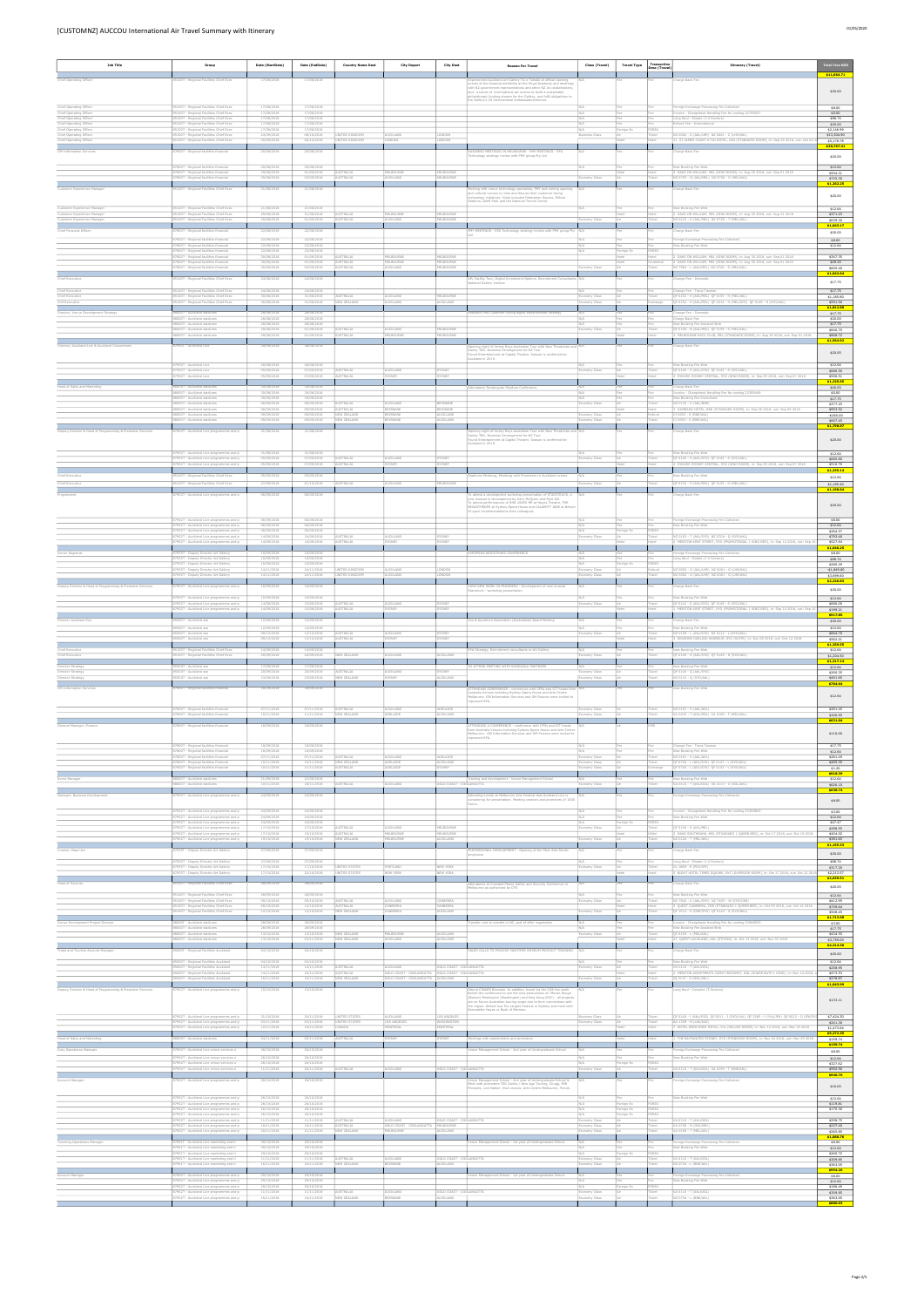| <b>Job Title</b>                                                              | Group                                                                                                                         | Date (StartDate)                       | Date (EndDate)                         | <b>Country Name Dest</b>                    | <b>City Depart</b>                                | <b>City Dest</b>                   | <b>Reason For Travel</b>                                                                                                                                                                                                                                                        | Class (Travel)                 | <b>Travel Type</b> | Transaction<br>Desc (Travel) | <b>Itinerary (Travel)</b>                                                                                                                     | <b>Total Fare NZD</b>                |
|-------------------------------------------------------------------------------|-------------------------------------------------------------------------------------------------------------------------------|----------------------------------------|----------------------------------------|---------------------------------------------|---------------------------------------------------|------------------------------------|---------------------------------------------------------------------------------------------------------------------------------------------------------------------------------------------------------------------------------------------------------------------------------|--------------------------------|--------------------|------------------------------|-----------------------------------------------------------------------------------------------------------------------------------------------|--------------------------------------|
| Chief Operating Officer                                                       | 5100T - Regional Facilities Chief Exec                                                                                        | 17/08/2018                             | 17/08/2018                             |                                             |                                                   |                                    | resented Auckland Art Gallery Toi o Tamaki at official opening                                                                                                                                                                                                                  |                                |                    |                              | Charge Back Fee                                                                                                                               | \$11,664.71                          |
|                                                                               |                                                                                                                               |                                        |                                        |                                             |                                                   |                                    | ents of the Oceania exhibition at the Royal Academy and meeting<br>ith NZ government representatives and other NZ Inc stakeholders<br>dus a series of international art events to build a sustainable<br>hilanthropic funding stream for the Gallery, and fulfil obligations to |                                |                    |                              |                                                                                                                                               | \$20.00                              |
| Chief Operating Officer                                                       | 85100T - Regional Facilities Chief Exec                                                                                       | 17/08/2018                             | 17/08/2018                             |                                             |                                                   |                                    | he Gallery's 20 International Ambassadors/donors                                                                                                                                                                                                                                | N/A                            | Fee                | Fee                          | Foreign Exchange Processing Fee Collected                                                                                                     | \$8.00                               |
| Chief Operating Officer<br>Chief Operating Officer<br>Chief Operating Officer | 85100T - Regional Facilities Chief Exec<br>85100T - Regional Facilities Chief Exec<br>85100T - Regional Facilities Chief Exec | 17/08/2018<br>17/08/2018<br>17/08/2018 | 17/08/2018<br>17/08/2018<br>17/08/2018 |                                             |                                                   |                                    |                                                                                                                                                                                                                                                                                 | N/A<br>N/A                     | Fee                | Fee<br>Fee                   | woice - Chargeback Handling Fee for costing 22795027<br>ong Haul - Simple (1-4 Sectors)<br>Refund Fee - International                         | \$0.00<br>\$88.74                    |
| Chief Operating Officer<br>Chief Operating Officer                            | 85100T - Regional Facilities Chief Exec<br>85100T - Regional Facilities Chief Exec                                            | 17/08/2018<br>24/09/2018               | 17/08/2018<br>08/10/2018               | NITED KINGDOP                               | AUCKLAND                                          | ONDO!                              |                                                                                                                                                                                                                                                                                 | N/A<br>Business Class          | Foreign Ex         | FOREX<br>Ticket              | NZ 0002 - Z (AKL/LHR) NZ 0001 - C (LHR/AKL)                                                                                                   | \$20.00<br>\$2,146.99<br>\$13,304.90 |
| Chief Operating Officer                                                       | 85100T - Regional Facilities Chief Exec                                                                                       | 25/09/2018                             | 06/10/2018                             | NITED KINGDOM                               | <b>MOGNO.</b>                                     | ONDON                              |                                                                                                                                                                                                                                                                                 |                                |                    | Hotel                        | 11 ST JAMES COURT A TAJ HOTEL, LON (STANDARD ROOM), in: Sep 25 2018, out: Oct 06 3                                                            | \$5,178,78<br>\$20,767.41            |
| <b>GM Information Services</b>                                                | 7800T - Regional facilities financial                                                                                         | 20/08/2018                             | 20/08/2018                             |                                             |                                                   |                                    | NESS MEETINGS IN MELBOURNE - PMY MEETINGS - RFA<br>echnology strategy review with PMY group Pty Ltd                                                                                                                                                                             |                                |                    |                              | Charge Back Fee                                                                                                                               | \$20.00                              |
|                                                                               | 87800T - Regional facilities financial<br>87800T - Regional facilities financial                                              | 20/08/2018<br>29/08/2018               | 20/08/2018<br>01/09/2018               | <b>WSTRALIA</b>                             | MELBOURNE                                         | MELBOURNE                          |                                                                                                                                                                                                                                                                                 | N/A                            | Fee                | Fee<br>Hotel                 | New Booking Fee Web<br>3 OAKS ON WILLIAM, MEL (KING ROOM), in: Aug 29 2018, out: Sep 01 2018                                                  | \$12.64<br>\$504.31                  |
|                                                                               | 37800T - Regional facilities financial                                                                                        | 29/08/2018                             | 02/09/2018                             | TRALIA                                      | UCKLAND                                           | <b>IELBOURNE</b>                   |                                                                                                                                                                                                                                                                                 | ny Clas:                       |                    | icket                        | (2 0725 - Q (AKL/MEL) NZ 0726 - S (MEL/AKL)                                                                                                   | \$725.30<br>\$1,262.25               |
| Customer Experience Manage                                                    | 85100T - Regional Facilities Chief Exec                                                                                       | 21/08/2018                             | 21/08/2018                             |                                             |                                                   |                                    | ing with venue technology specialists, PMY and visiting sporting<br>and cultural venues to view and discuss their customer facing<br>chnology initiatives. Visits included Federation Square, Etihad                                                                            |                                |                    |                              | Charge Back Fee                                                                                                                               | \$20.00                              |
| Customer Experience Manage                                                    | 85100T - Regional Facilities Chief Exec                                                                                       | 21/08/2018                             | 21/08/2018                             |                                             |                                                   |                                    | tadium, AAMI Park and the National Tennis Centre.                                                                                                                                                                                                                               | N/A                            |                    | Fee                          | New Booking Fee Web                                                                                                                           | \$12.64                              |
| Customer Experience Manager<br>Lustomer Experience Manager                    | 85100T - Regional Facilities Chief Exec<br>85100T - Regional Facilities Chief Exec                                            | 29/08/2018<br>29/08/2018               | 31/08/2018<br>01/09/2018               | <b>JSTRALIA</b><br><b>JSTRALIA</b>          | MELBOURNE<br>AUCKLAND                             | MELBOURNE<br>MELBOURNE             |                                                                                                                                                                                                                                                                                 | conomy Class                   |                    | Ticket                       | 2 OAKS ON WILLIAM, MEL (KING ROOM), in: Aug 29 2018, out: Aug 31 2018<br>NZ 0123 - K (AKL/MEL) NZ 0726 - T (MEL/AKL)                          | \$371.23<br>\$639.30<br>\$1,043.17   |
| Chief Financial Officer                                                       | 7800T - Regional facilities financial                                                                                         | 22/08/2018                             | 22/08/2018                             |                                             |                                                   |                                    | MY MEETINGS - RFA Technology strategy review with PMY group Pty                                                                                                                                                                                                                 |                                |                    |                              | harge Back Fee                                                                                                                                | \$20.00                              |
|                                                                               | 87800T - Regional facilities financial<br>87800T - Regional facilities financial<br>87800T - Regional facilities financial    | 22/08/2018<br>22/08/2018<br>22/08/2018 | 22/08/2018<br>22/08/2018<br>22/08/2018 |                                             |                                                   |                                    |                                                                                                                                                                                                                                                                                 | N/A<br>N/A<br>N/A              | Fee<br>oreign Ex   | Fee<br>Fee<br>FOREX          | Foreign Exchange Processing Fee Collected<br>New Booking Fee Web                                                                              | \$8.00<br>\$12.64                    |
|                                                                               | 87800T - Regional facilities financial<br>87800T - Regional facilities financial                                              | 30/08/2018<br>30/08/2018               | 01/09/2018<br>01/09/2018               | <b>USTRALIA</b><br>AUSTRALIA                | MEI ROURNE<br>MELBOURNE                           | MFLBOURNE<br>MELBOURNE             |                                                                                                                                                                                                                                                                                 |                                | <b>fatel</b>       | Incidental                   | OAKS ON WILLIAM, MEL (KING ROOM), in: Aug 30 2018, out: Sep 01 2018<br>2 OAKS ON WILLIAM, MEL (KING ROOM), in: Aug 30 2018, out: Sep 01 2018  | \$347.35<br>\$49.25                  |
|                                                                               | 87800T - Regional facilities financial                                                                                        | 30/08/2018                             | 02/09/2018                             | USTRALIA                                    | AUCKLAND                                          | MELBOURNE                          |                                                                                                                                                                                                                                                                                 | omy Class                      |                    | Ticket                       | NZ 7964 - L (AKL/MEL) NZ 0726 - S (MEL/AKL)                                                                                                   | \$605.40<br>\$1,042.64               |
| Chief Executive                                                               | 85100T - Regional Facilities Chief Exec                                                                                       | 24/08/2018                             | 24/08/2018                             |                                             |                                                   |                                    | AFL Facility Tour, Digital Investment Options, Recruitment Consultants, N/A<br>tional Gallery Victoria                                                                                                                                                                          |                                |                    |                              | Change Fee - Domestic                                                                                                                         | \$17.75                              |
| Chief Executive<br>Chief Executive<br>Chif Executive                          | 85100T - Regional Facilities Chief Exec<br>85100T - Regional Facilities Chief Exec<br>85100T - Regional Facilities Chief Exec | 24/08/2018<br>30/08/2018<br>30/08/2018 | 24/08/2018<br>31/08/2018<br>31/08/2018 | STRAITA<br>NEW ZEALAND                      | AUCKLAND<br>AUCKLAND                              | ELBOURNI<br>AUCKLAND               |                                                                                                                                                                                                                                                                                 | my Class                       |                    | Ticket<br>Exchange           | Change Fee - Trans Tasmar<br>QF 0152 - H (AKL/MEL) QF 0155 - H (MEL/AKL)<br>QF 0152 - H (AKL/MEL) QF 0414 - H (MEL/SYD) QF 0149 - H (SYD/AKL) | \$17.75<br>\$1,185.80<br>\$591.50    |
| Director, Venue Development Strategy                                          | 88000T - Auckland stadiums                                                                                                    | 28/08/2018                             | 28/08/2018                             |                                             |                                                   |                                    | search into Customer Facing digital enhancement strategy                                                                                                                                                                                                                        |                                |                    |                              | Change Fee - Domestic                                                                                                                         | \$1,812.80<br>\$17.75                |
|                                                                               | 88000T - Auckland stadiums<br>88000T - Auckland stadiums                                                                      | 28/08/2018<br>28/08/2018               | 28/08/2018<br>28/08/2018               |                                             |                                                   |                                    |                                                                                                                                                                                                                                                                                 | N/A<br>N/A                     |                    | Fee                          | Charge Back Fee<br>New Booking Fee Assisted Web                                                                                               | \$20,00<br>\$17.75                   |
|                                                                               | 88000T - Auckland stadiums<br>88000T - Auckland stadiums                                                                      | 29/08/2018<br>29/08/2018               | 01/09/2018<br>01/09/2018               | <b>JSTRALIA</b><br><b>JSTRALIA</b>          | AUCKLAND<br>MELBOURNE                             | MELBOURNE<br>MELBOURNE             |                                                                                                                                                                                                                                                                                 | conomy Class                   |                    | Ticket                       | QF 0158 - N (AKL/MEL) QF 0159 - S (MEL/AKL)<br>3 MELBOURNE RACV CLUB, MEL (STANDARD ROOM), in: Aug 29 2018, out: Sep 01 2018                  | \$640.70<br>\$868,72                 |
| Director, Auckland Live & Auckland Conventions                                | 7950T - Auckland Live                                                                                                         | 28/08/2018                             | 28/08/2018                             |                                             |                                                   |                                    | sening night of Jersey Boys Australian Tour with New Theatricals and N/A<br>sinty TEG. Business Development for NZ Tour                                                                                                                                                         |                                |                    |                              | Charge Back Fee                                                                                                                               | \$1,564.92<br>\$20.00                |
|                                                                               | 87950T - Auckland Live                                                                                                        | 28/08/2018                             | 28/08/2018                             |                                             |                                                   |                                    | bund Entertainment at Capitol Theatre. Season is confirmed for<br>uckland in 2019.                                                                                                                                                                                              | N/A                            |                    | Fee                          | New Booking Fee Web                                                                                                                           | \$12.64                              |
|                                                                               | 87950T - Auckland Live<br>87950T - Auckland Live                                                                              | 05/09/2018<br>05/09/2018               | 07/09/2018<br>07/09/2018               | AUSTRALIA<br><b>JSTRALIA</b>                | AUCKLAND<br>YDNEY                                 | SYDNEY<br><b>ONEY</b>              |                                                                                                                                                                                                                                                                                 | Economy Class                  |                    | Ticket                       | QF 0146 - S (AKL/SYD) QF 0145 - S (SYD/AKL)<br>2 RYDGES SYDNEY CENTRAL, SYD (KING ROOM), in: Sep 05 2018, out: Sep 07 2018                    | \$686.50<br>\$506.51                 |
| Head of Sales and Marketing                                                   | 88000T - Auckland stadiums                                                                                                    | 30/08/2018                             | 30/08/2018                             |                                             |                                                   |                                    | Attendance Rectangular Stadium Conference                                                                                                                                                                                                                                       | N/A                            | Fee                | Fee                          | Charge Back Fee                                                                                                                               | \$1,225.65<br>\$40.00                |
|                                                                               | 88000T - Auckland stadiums<br>88000T - Auckland stadium<br>88000T - Auckland stadiums                                         | 30/08/2018<br>30/08/2018<br>06/09/2018 | 30/08/2018<br>30/08/2018<br>06/09/2018 | AUSTRALIA                                   | AUCKLAND                                          | BRISBANE                           |                                                                                                                                                                                                                                                                                 | N/A<br>Economy Class           |                    | Fee<br>Ticket                | Invoice - Chargeback Handling Fee for costing 23390449<br>New Booking Fee Consultar<br>NZ 0135 - V (AKL/BNE)                                  | \$0.00<br>\$17.75<br>\$377.25        |
|                                                                               | 88000T - Auckland stadiums<br>88000T - Auckland stadiu                                                                        | 06/09/2018<br>09/09/2018               | 09/09/2018<br>09/09/2018               | <b>USTRALIA</b><br><b>IEW ZEALAND</b>       | BRISBANE<br>BRISBANE                              | BRISBANE<br>AUCKLAND               |                                                                                                                                                                                                                                                                                 | my Class                       |                    | Hotel<br>Refund              | 3 GAMBARO HOTEL, BNE (STANDARD ROOM), in: Sep 06 2018, out: Sep 09 2018<br>I 0053 - E (BNE/AKL                                                | \$953.52<br>$-5265.00$               |
|                                                                               | 88000T - Auckland stadiums                                                                                                    | 09/09/2018                             | 09/09/2018                             | <b>IEW ZEALAND</b>                          | BRISBANE                                          | NJCKLAND                           |                                                                                                                                                                                                                                                                                 | omy Class                      |                    | Ticket                       | CI 0053 - E (BNE/AKL                                                                                                                          | \$667.45<br>\$1,790.97               |
| puty Director & Head of Programming & Presenter Services                      | 952T - Auckland Live programmes and p                                                                                         | 31/08/2018                             | 31/08/2018                             |                                             |                                                   |                                    | ening night of Jersey Boys Australian Tour with New Theatricals and  <br>sinty TEG. Business Development for NZ Tour<br>und Entertainment at Capitol Theatre. Season is confirmed for                                                                                           |                                |                    |                              | arge Back Fee                                                                                                                                 | \$20.00                              |
|                                                                               | 87952T - Auckland Live programmes and p                                                                                       | 31/08/2018                             | 31/08/2018                             |                                             |                                                   |                                    | uckland in 2019.                                                                                                                                                                                                                                                                | N/A                            | Fee                | Fee                          | New Booking Fee Web                                                                                                                           | \$12.64                              |
|                                                                               | 87952T - Auckland Live programmes and p<br>7952T - Auckland Live programmes and                                               | 05/09/2018<br>05/09/2018               | 07/09/2018<br>07/09/2018               | <b>AUSTRALIA</b><br>STRALIA                 | AUCKLAND<br><b>SNEY</b>                           | SYDNEY                             |                                                                                                                                                                                                                                                                                 | Economy Class                  |                    | Ticket                       | QF 0146 - S (AKL/SYD) QF 0145 - S (SYD/AKL)<br>RYDGES SYDNEY CENTRAL, SYD (KING ROOM), in: Sep 05 2018, out: Sep 07 2018                      | \$685,80<br>\$516.70                 |
| Chief Executive                                                               | 85100T - Regional Facilities Chief Exec                                                                                       | 05/09/2018                             | 05/09/2018                             |                                             |                                                   |                                    | diums Meetings, Meetings with Promoters re Auckland events                                                                                                                                                                                                                      |                                |                    |                              | lew Booking Fee Web                                                                                                                           | \$1,235.14<br>\$12.64                |
| Chief Executive                                                               | 85100T - Regional Facilities Chief Exec                                                                                       | 27/09/2018                             | 01/10/2018                             | <b>AUSTRALIA</b>                            | AUCKLAND                                          | MELBOURNE                          |                                                                                                                                                                                                                                                                                 | onomy Class                    |                    | Ticket                       | OF 0154 - H (AKL/MEL) OF 0155 - H (MEL/AKL)                                                                                                   | \$1,185.40<br>\$1,198.04             |
| Programmer                                                                    | 7952T - Auckland Live programmes and p                                                                                        | 06/09/2018                             | 06/09/2018                             |                                             |                                                   |                                    | lo attend a development workshop presentation of STARSTRUCK, a<br>ew musical in development by Gary McQuinn and Rina Gill.<br>To attend performances of SHE LOVES ME at Hayes Theatre, THE                                                                                      |                                |                    |                              | Charge Back Fee                                                                                                                               | \$20,00                              |
|                                                                               |                                                                                                                               |                                        |                                        |                                             |                                                   |                                    | ISANTHROPE at Sydney Opera House and CALAMITY JANE at Belvo<br>St upon recommendations from colleagues.                                                                                                                                                                         |                                |                    |                              |                                                                                                                                               |                                      |
|                                                                               | 87952T - Auckland Live programmes and p<br>87952T - Auckland Live programmes and p<br>87952T - Auckland Live programmes and p | 06/09/2018<br>06/09/2018<br>06/09/2018 | 06/09/2018<br>06/09/2018<br>06/09/2018 |                                             |                                                   |                                    |                                                                                                                                                                                                                                                                                 | N/A<br>N/A                     | oreign Ex          | FOREX                        | Foreign Exchange Processing Fee Collected<br>New Booking Fee Web                                                                              | \$8.00<br>\$12.64<br>\$284.57        |
|                                                                               | 87952T - Auckland Live programmes and p<br>87952T - Auckland Live programmes and p                                            | 14/09/2018<br>14/09/2018               | 16/09/2018<br>16/09/2018               | <b>WSTRALIA</b><br><b>JSTRALIA</b>          | AUCKLAND<br>SYDNEY                                | YDNEY<br><b>ONEY</b>               |                                                                                                                                                                                                                                                                                 | Economy Class                  |                    | Ticket<br>lotel              | NZ 0103 - T (AKL/SYD) NZ 0706 - Q (SYD/AKL)<br>2 MERITON KENT STREET, SYD (PROMOTIONAL 1 KING BED), in: Sep 14 2018, out: Sep 16              | \$793.40<br>\$527.64                 |
| Senior Registrar                                                              | 35T - Deputy Director Art Gallery                                                                                             | 10/09/2018                             | 10/09/2018                             |                                             |                                                   |                                    | ROPEAN REGISTRARS CONFERENCE                                                                                                                                                                                                                                                    |                                |                    |                              | eign Exchange Processing Fee Collected                                                                                                        | \$1,646.25<br>\$8.00                 |
|                                                                               | 87935T - Deputy Director Art Gallery<br>87935T - Deputy Director Art Gallery<br>87935T - Deputy Director Art Gallery          | 10/09/2018<br>10/09/2018<br>14/11/2018 | 10/09/2018<br>10/09/2018<br>24/11/2018 | NITED KINGDOM                               | AUCKLAND                                          | ONDO!                              |                                                                                                                                                                                                                                                                                 | N/A<br>N/A<br>conomy Clas      | 'ee<br>oreign Ex   | FOREX<br>Refund              | Long Haul - Simple (1-4 Sectors)<br>NZ 0002 - G (AKL/LHR) NZ 0001 - G (LHR/AKL)                                                               | \$88.74<br>\$280.29<br>$-$1,849.80$  |
|                                                                               | 87935T - Deputy Director Art Gallery                                                                                          | 14/11/2018                             | 24/11/2018                             | JNITED KINGDOM                              | AUCKLAND                                          | ONDON                              |                                                                                                                                                                                                                                                                                 | conomy Class                   |                    | Ticket                       | NZ 0002 - G (AKL/LHR) NZ 0001 - G (LHR/AKL)                                                                                                   | \$3,699.60<br>\$2,226.83             |
| Jeputy Director & Head of Programming & Presenter Services                    | 52T - Auckland Live programmes and p                                                                                          | 10/09/2018                             | 10/09/2018                             |                                             |                                                   |                                    | IEW NEW WORK IN PROGRESS - Development of new musical<br>tarstruck - workshop presentation                                                                                                                                                                                      |                                |                    |                              | arge Back Fee                                                                                                                                 | \$20.00                              |
|                                                                               | 87952T - Auckland Live programmes and p<br>87952T - Auckland Live programmes and p                                            | 10/09/2018<br>14/09/2018<br>14/09/2018 | 10/09/2018<br>15/09/2018               | <b>AUSTRALIA</b><br>STRALIA                 | AUCKLAND                                          | SYDNEY                             |                                                                                                                                                                                                                                                                                 | N/A<br>Economy Class           | Fee                | Fee<br>Ticket                | New Booking Fee Web<br>QF 0142 - S (AKL/SYD) QF 0149 - S (SYD/AKL)                                                                            | \$12.64<br>\$686.00                  |
| Director Auckland Zoo                                                         | 87952T - Auckland Live programmes and p<br>85500T - Auckland zon                                                              | 12/09/2018                             | 15/09/2018<br>12/09/2018               |                                             |                                                   |                                    | oo & Aguarium Association (Australasia) Board Meeting                                                                                                                                                                                                                           | N/A                            |                    |                              | MERITON KENT STREET, SYD (PROMOTIONAL 1 KING BED), in: Sep 14 2018, out: Sep 1<br>Charge Back Fee                                             | \$199.21<br>\$917.85<br>\$20.00      |
|                                                                               | 85500T - Auckland zoo<br>85500T - Auckland zoo                                                                                | 12/09/2018<br>09/12/2018               | 12/09/2018<br>12/12/2018               | <b>AUSTRALIA</b>                            | AUCKLAND                                          | SYDNEY                             |                                                                                                                                                                                                                                                                                 | N/A<br>Economy Class           |                    | Fee<br>Ticket                | New Booking Fee Web<br>NZ 0109 - L (AKL/SYD) NZ 0112 - L (SYD/AKL)                                                                            | \$12.64<br>\$664.70                  |
|                                                                               | 85500T - Auckland zo                                                                                                          | 09/12/2018                             | 12/12/2018                             | STRAITA                                     | DNFY                                              |                                    |                                                                                                                                                                                                                                                                                 |                                |                    |                              | SEASONS DARLING HARBOUR, SYD (SUITE), in: Dec 09 2018, out: Dec 12 2018                                                                       | \$562.21<br>\$1,259.55               |
| Chief Executive<br>Chief Executive                                            | 85100T - Regional Facilities Chief Exec<br>85100T - Regional Facilities Chief Exec                                            | 14/09/2018<br>20/09/2018               | 14/09/2018<br>20/09/2018               | W ZEALANI                                   | WCKLAND                                           | <b>UCKLAND</b>                     | RFA Strategy, Recruitment consultants re Art Gallery                                                                                                                                                                                                                            | ny Class                       |                    |                              | New Booking Fee Web<br>(F 0140 - H (AKL/SYD) QF 0149 - H (SYD/AKL)                                                                            | \$12.64<br>\$1,204.50                |
| rector Strategy<br>Director Strategy                                          | 500T - Auckland zoo<br>85500T - Auckland zoo                                                                                  | 17/09/2018<br>20/09/2018               | 17/09/2018<br>20/09/2018               | <b>JSTRALIA</b>                             | AUCKLAND                                          | YDNEY                              | TO ATTEND MEETING WITH SANDWALK PARTNERS                                                                                                                                                                                                                                        | N/A<br>Economy Class           |                    | Ticket                       | New Booking Fee Web<br>QF 0140 - Q (AKL/SYD                                                                                                   | \$1,217.14<br>\$12.64<br>\$260.35    |
| Jirector Strategy                                                             | 85500T - Auckland zoo                                                                                                         | 23/09/2018                             | 23/09/2018                             | <b>IEW ZEALAND</b>                          | <b>SYDNEY</b>                                     | NJCKLAND                           |                                                                                                                                                                                                                                                                                 | Economy Class                  |                    | Ticket                       | NZ 0110 - Q (SYD/AKL)                                                                                                                         | \$491.65<br>\$764.64                 |
| GM Information Services                                                       | 7800T - Regional facilities financial                                                                                         | 18/09/2018                             | 18/09/2018                             |                                             |                                                   |                                    | <b>ITTENDING CONFERENCE - conference with CFOs and ICT heads fro.</b><br>.<br>Australia Venues including Sydney Opera House and Arts Centre<br>Melbourne. GM Information Services and GM Finance were invited to                                                                | N/A                            |                    |                              | New Booking Fee Web                                                                                                                           | \$12.64                              |
|                                                                               | 87800T - Regional facilities financial                                                                                        | 07/11/2018                             | 07/11/2018                             | AUSTRALIA                                   | AUCKLAND                                          | ADELAIDE                           | epresent RFA.                                                                                                                                                                                                                                                                   | onomy Class                    |                    | Ticket                       | NZ 0191 - S (AKL/ADL)                                                                                                                         | \$281.45                             |
|                                                                               | 87800T - Regional facilities financia                                                                                         | 10/11/2018                             | 11/11/2018                             | EW ZEALANI                                  | ADELAIDE                                          | NJCKLAND                           |                                                                                                                                                                                                                                                                                 | ny Class                       |                    | Ticket                       | A 0232 - T (ADL/MEL) VA 0169 - T (MEL/AKL)                                                                                                    | \$326.95<br>\$621.04                 |
| General Manager, Finance                                                      | 7800T - Regional facilities financial                                                                                         | 18/09/2018                             | 18/09/2018                             |                                             |                                                   |                                    | .<br>TTENDING A CONFERENCE - conference with CFOs and ICT heads<br>rom Australia Venues including Sydney Opera House and Arts Centre<br>lelbourne. GM Information Services and GM Finance were invited to                                                                       |                                |                    |                              |                                                                                                                                               | \$110.00                             |
|                                                                               | 87800T - Regional facilities financial                                                                                        | 18/09/2018                             | 18/09/2018                             |                                             |                                                   |                                    | epresent RFA.                                                                                                                                                                                                                                                                   |                                | Fee                | Fee                          | Change Fee - Trans Tasman                                                                                                                     | \$17.75                              |
|                                                                               | 87800T - Regional facilities financial<br>87800T - Regional facilities financial<br>87800T - Regional facilities financial    | 18/09/2018<br>07/11/2018<br>10/11/2018 | 18/09/2018<br>07/11/2018<br>10/11/2018 | <b>AUSTRALIA</b><br>NEW ZEALAND             | AUCKLAND<br>ADELAIDE                              | ADELAIDE<br>AUCKLAND               |                                                                                                                                                                                                                                                                                 | Economy Class<br>Economy Class |                    | Ticket<br>Ticket             | New Booking Fee Web<br>NZ 0191 - S (AKL/ADL)<br>QF 0736 - L (ADL/SYD) QF 0147 - L (SYD/AKL)                                                   | \$12.64<br>\$281.45<br>\$495.35      |
|                                                                               | 87800T - Regional facilities financial                                                                                        | 10/11/2018                             | 11/11/2018                             | USTRALIA                                    | ADELAIDE                                          | YDNEY                              |                                                                                                                                                                                                                                                                                 | tomy Class                     |                    | Exchange                     | QF 0740 - L (ADL/SYD) QF 0143 - L (SYD/AKL)                                                                                                   | \$1,20<br>\$918.39                   |
| Event Manager                                                                 | 88000T - Auckland stadiums<br>00T - Auckland stadiums                                                                         | 21/09/2018<br>10/11/2018               | 21/09/2018<br>18/11/2018               | STRALIA                                     | AUCKLAND                                          | SOLD COAST - COOLANGATTA           | Training and development - Venue Management School                                                                                                                                                                                                                              | N/A<br>Economy Class           | Fee                | Fee<br>Ticket                | New Booking Fee Web<br>VA 0110 - T (AKL/OOL) VA 0113 - V (OOL/AKL)                                                                            | \$12.64<br>\$626.10                  |
| Manager, Business Developmen                                                  | 87952T - Auckland Live programmes and p                                                                                       | 24/09/2018                             | 24/09/2018                             |                                             |                                                   |                                    | Attending events at Melbourne Arts Festival that Auckland Live is<br>nsidering for presentation. Meeting creators and promoters of 1000                                                                                                                                         |                                |                    |                              | Foreign Exchange Processing Fee Collected                                                                                                     | \$638.74<br>\$8.00                   |
|                                                                               | 87952T - Auckland Live programmes and p                                                                                       | 24/09/2018                             | 24/09/2018                             |                                             |                                                   |                                    | cors.                                                                                                                                                                                                                                                                           | N/A                            |                    | Fee                          | Invoice - Chargeback Handling Fee for costing 23269843                                                                                        | \$3.00                               |
|                                                                               | 87952T - Auckland Live programmes and p<br>87952T - Auckland Live programmes and p                                            | 24/09/2018<br>24/09/2018               | 24/09/2018<br>24/09/2018               |                                             |                                                   |                                    |                                                                                                                                                                                                                                                                                 | N/A                            | Foreign Ex         | FOREX                        | New Booking Fee Web                                                                                                                           | \$12.64<br>\$47.47                   |
|                                                                               | 87952T - Auckland Live programmes and p<br>87952T - Auckland Live programmes and p<br>87952T - Auckland Live programmes and p | 17/10/2018<br>17/10/2018<br>19/10/2018 | 17/10/2018<br>19/10/2018<br>19/10/2018 | AUSTRALIA<br>USTRALIA<br><b>IEW ZEALAND</b> | AUCKLAND<br>MELBOURNE<br>MELBOURNE                | MELBOURNE<br>MELBOURNE<br>AUCKLAND |                                                                                                                                                                                                                                                                                 | conomy Class<br>conomy Class   |                    | Ticket<br>HOtel<br>Ticket    | QF 0158 - S (AKL/MEL)<br>2 OAKS SOUTHBANK, MEL (STANDARD 1 QUEEN BED), in: Oct 17 2018, out: Oct 19 2018<br>NZ 0124 - T (MEL/AKL              | \$298.55<br>\$404.02<br>\$381.65     |
| Curator, Maori Art                                                            | 7935T - Deputy Director Art Gallery                                                                                           | 27/09/2018                             | 27/09/2018                             |                                             |                                                   |                                    | tOFESSIONAL DEVELOPMENT - Opening of the Fiber Arts Studio                                                                                                                                                                                                                      |                                |                    |                              | Charge Back Fee                                                                                                                               | \$1,155.33                           |
|                                                                               | 87935T - Deputy Director Art Gallery                                                                                          | 27/09/2018                             | 27/09/2018                             |                                             |                                                   |                                    |                                                                                                                                                                                                                                                                                 | N/A                            | Fee                | Fee                          | Long Haul - Simple (1-4 Sectors)                                                                                                              | \$20.00<br>\$88.74                   |
|                                                                               | 87935T - Deputy Director Art Gallery<br>87935T - Deputy Director Art Gallery                                                  | 17/10/2018<br>17/10/2018               | 17/10/2018<br>22/10/2018               | UNITED STATES<br>NITED STATES               | PORTLAND<br>NEW YORK                              | NEW YORK<br><b>VEW YORK</b>        |                                                                                                                                                                                                                                                                                 | Economy Class                  |                    | Ticket                       | DL 1869 - E (PDX/JFK)<br>5 NIGHT HOTEL TIMES SQUARE, NYC (SUPERIOR ROOM), in: Oct 17 2018, out: Oct 22 20                                     | \$317.20<br>\$2,213.57               |
| Head of Security                                                              | 85100T - Regional Facilities Chief Exec                                                                                       | 28/09/2018                             | 28/09/2018                             |                                             |                                                   |                                    | ndance at Crowded Places Safety and Security Conference in<br>bourne as authorised by CFO                                                                                                                                                                                       | N/A                            |                    |                              | Charge Back Fee                                                                                                                               | \$2,639.51<br>\$20.00                |
|                                                                               | 85100T - Regional Facilities Chief Exec.<br>85100T - Regional Facilities Chief Exec                                           | 28/09/2018<br>09/10/2018               | 28/09/2018<br>09/10/2018               | <b>AUSTRALIA</b>                            | AUCKLAND                                          | CANBERRA                           |                                                                                                                                                                                                                                                                                 | N/A<br>Economy Class           |                    | Fee<br>Ticket                | New Booking Fee Web<br>NZ 7942 - K (AKL/SYD) NZ 7835 - W (SYD/CBR)                                                                            | \$12.64<br>\$412.95                  |
|                                                                               | 85100T - Regional Facilities Chief Exec<br>85100T - Regional Facilities Chief Exec                                            | 09/10/2018<br>12/10/2018               | 12/10/2018<br>12/10/2018               | <b>AUSTRALIA</b><br><b>NEW ZEALAND</b>      | CANBERRA<br>CANBERRA                              | CANBERRA<br><b>AUCKLAND</b>        |                                                                                                                                                                                                                                                                                 | conomy Class                   |                    | Hotel<br>Ticket              | 3 QUEST CANBERRA, CBR (STANDARD 1 QUEEN BED), in: Oct 09 2018, out: Oct 12 2018<br>OF 1512 - S (CBR/SYD) OF 0143 - S (SYD/AKL)                | \$759.64<br>\$508.45                 |
| Venue Development Project Director                                            | 88000T - Auckland stadiums<br>88000T - Auckland stadiums                                                                      | 28/09/2018<br>28/09/2018               | 28/09/2018<br>28/09/2018               |                                             |                                                   |                                    | ransfer cost to resettle in NZ, part of offer negotiation                                                                                                                                                                                                                       | N/A                            |                    |                              | Invoice - Chargeback Handling Fee for costing 23068933<br>New Booking Fee Assisted Wel                                                        | \$1,713.68<br>\$3.00<br>\$17.75      |
|                                                                               | 88000T - Auckland stadiums<br>88000T - Auckland stadiums                                                                      | 13/10/2018<br>13/10/2018               | 13/10/2018<br>03/11/2018               | NEW ZEALAND<br>NEW ZEALAND                  | MELBOURNE<br>AUCKLAND                             | AUCKLAND<br>NUCKLAND               |                                                                                                                                                                                                                                                                                 | Economy Class                  |                    | Ticket                       | QF 0159 - L (MEL/AKL)<br>21 QUEST AUCKLAND, AKL (STUDIO), in: Oct 13 2018, out: Nov 03 2018                                                   | \$434.55<br>\$3,759.00               |
| Trade and Tourism Account Manager                                             | 85000T - Regional Facilities Auckland                                                                                         | 04/10/2018                             | 04/10/2018                             |                                             |                                                   |                                    | SALES CALLS TO PROVIDE MARITIME MUSEUM PRODUCT TRAINING                                                                                                                                                                                                                         | N/A                            |                    |                              | Charge Back Fee                                                                                                                               | \$4,214.30<br>\$20.00                |
|                                                                               | 85000T - Regional Facilities Auckland<br>85000T - Regional Facilities Auckland                                                | 04/10/2018<br>14/11/2018               | 04/10/2018<br>14/11/2018               | AUSTRALIA                                   | AUCKLAND                                          | GOLD COAST - COOLANGATTA           |                                                                                                                                                                                                                                                                                 | Economy Class                  |                    | Ticket                       | New Booking Fee Web<br>VA 0110 - T (AKL/OOL)                                                                                                  | \$12.64                              |
|                                                                               | 85000T - Regional Facilities Auckland                                                                                         | 14/11/2018                             | 16/11/2018                             | AUSTRALIA                                   | GOLD COAST - COOLANGATTA GOLD COAST - COOLANGATTA |                                    |                                                                                                                                                                                                                                                                                 |                                |                    |                              | 2 MERITON APARTMENTS COMO CRESCENT, OOL (SHARE BATH 1 KING), in: Nov 14 2018, or                                                              | \$258.95<br>\$473.53                 |

|                                                            | 85000T - Regional Facilities Auckland   | 16/11/2018                                                                                                              | 16/11/2018 | NEW ZEALAND      | GOLD COAST - COOLANGATTA AUCKLAND |                                 |                                                                                                                                                                                                                                                                                                                                                                                                     | Economy Class         | Δir        | Ticket       | JQ 0133 - E (OOL/AKL)                                                                 | \$278.87   |
|------------------------------------------------------------|-----------------------------------------|-------------------------------------------------------------------------------------------------------------------------|------------|------------------|-----------------------------------|---------------------------------|-----------------------------------------------------------------------------------------------------------------------------------------------------------------------------------------------------------------------------------------------------------------------------------------------------------------------------------------------------------------------------------------------------|-----------------------|------------|--------------|---------------------------------------------------------------------------------------|------------|
|                                                            |                                         | <b>Contract Contract Contract Contract Contract Contract Contract Contract Contract Contract Contract Contract Co</b>   |            |                  |                                   |                                 |                                                                                                                                                                                                                                                                                                                                                                                                     |                       |            |              |                                                                                       | \$1,043.99 |
| Deputy Director & Head of Programming & Presenter Services | 87952T - Auckland Live programmes and p | 15/10/2018                                                                                                              | 15/10/2018 |                  |                                   |                                 | Attend CINARS Biennale. In addition, travel via the USA the week<br>before the conference to see the new productions of: Moulin Rouge<br>(Boston) Beetlejuice (Washington) and King Kong (NYC) - all projects<br>are on future Australian touring scope due to their connections with<br>the region. Attend Just For Laughs Festival in Sydney and meet with<br>Bernadette Hayes re Book of Mormon. | N/A                   | Fee        | Fee:         | Long Haul - Complex (5 Sectors)                                                       | \$133.11   |
|                                                            | 87952T - Auckland Live programmes and p | 31/10/2018                                                                                                              | 25/11/2018 | UNITED STATES    | AUCKLAND                          | <b>LOS ANGELES</b>              |                                                                                                                                                                                                                                                                                                                                                                                                     | <b>Business Class</b> |            | Ticket       | QF 0140 - I (AKL/SYD) QF 0011 - I (SYD/LAX) QF 3265 - Y (YUL/JFK) QF 0012 - D (JFK/SY | \$7,424.30 |
|                                                            | 87952T - Auckland Live programmes and p | 03/11/2018                                                                                                              | 03/11/2018 | UNITED STATES    | LOS ANGELES                       | WASHINGTON                      |                                                                                                                                                                                                                                                                                                                                                                                                     | Economy Class         |            | Ticket       | AA 1339 - N (LAX/IAD)                                                                 | \$241.30   |
|                                                            | 87952T - Auckland Live programmes and p | 12/11/2018                                                                                                              | 19/11/2018 | CANADA           | MONTREAL                          | MONTREAL                        |                                                                                                                                                                                                                                                                                                                                                                                                     |                       |            | Hotel        | HOTEL OMNI MONT ROYAL, YUL (DELUXE ROOM), in: Nov 12 2018, out: Nov 19 2018           | \$1,473.64 |
|                                                            |                                         |                                                                                                                         |            |                  |                                   |                                 |                                                                                                                                                                                                                                                                                                                                                                                                     |                       |            |              |                                                                                       | \$9,272.35 |
| Head of Sales and Marketing                                | 38000T - Auckland stadiums              | 04/11/2018                                                                                                              | 05/11/2018 | AUSTRALIA        | <b>SYDNEY</b>                     | SYDNEY                          | feetings with stakeholders and promotors                                                                                                                                                                                                                                                                                                                                                            |                       |            | Hotel        | THE BAYSWATER SYDNEY, SYD (STANDARD ROOM), in: Nov 04 2018, out: Nov 05 2018          | \$159.74   |
|                                                            |                                         |                                                                                                                         |            |                  |                                   |                                 |                                                                                                                                                                                                                                                                                                                                                                                                     |                       |            |              |                                                                                       | \$159.74   |
| Duty Operations Manager                                    | 87954T - Auckland Live venue services o | 26/10/2018                                                                                                              | 26/10/2018 |                  |                                   |                                 | Venue Management School - 2nd year of Undergraduate School                                                                                                                                                                                                                                                                                                                                          | N/A                   | Fee        | Fee          | Foreign Exchange Processing Fee Collected                                             | \$8.00     |
|                                                            | 87954T - Auckland Live venue services o | 26/10/2018                                                                                                              | 26/10/2018 |                  |                                   |                                 |                                                                                                                                                                                                                                                                                                                                                                                                     |                       |            |              | New Booking Fee Web                                                                   | \$12.64    |
|                                                            | 87954T - Auckland Live venue services o | 26/10/2018                                                                                                              | 26/10/2018 |                  |                                   |                                 |                                                                                                                                                                                                                                                                                                                                                                                                     | N/A                   | Foreign Ex | FOREX        |                                                                                       | \$327.62   |
|                                                            | 87954T - Auckland Live venue services o | 11/11/2018                                                                                                              | 20/11/2018 | <b>AUSTRALIA</b> | AUCKLAND                          | SOLD COAST - COOLANGATTA        |                                                                                                                                                                                                                                                                                                                                                                                                     | Economy Class         |            | Ticket       | VA 0110 - T (AKL/OOL) VA 0159 - T (BNE/AKL)                                           | \$592.50   |
|                                                            |                                         |                                                                                                                         |            |                  |                                   |                                 |                                                                                                                                                                                                                                                                                                                                                                                                     |                       |            |              |                                                                                       | \$940.76   |
| Account Manager                                            | 87952T - Auckland Live programmes and p | 26/10/2018                                                                                                              | 26/10/2018 |                  |                                   |                                 | Venue Management School - 2nd year of Undergraduate School &<br>Meet with promoters TEG Dainty / New Age Touring, Chugg, MJR<br>Presents, Live Nation. Visit venues: Arts Centre Melbourne, Forum.                                                                                                                                                                                                  | N/A                   | Fee        | Fee          | Foreign Exchange Processing Fee Collected                                             | \$16.00    |
|                                                            | 87952T - Auckland Live programmes and p | 26/10/2018                                                                                                              | 26/10/2018 |                  |                                   |                                 |                                                                                                                                                                                                                                                                                                                                                                                                     | N/A                   |            | Fee          | New Booking Fee Web                                                                   | \$12.64    |
|                                                            | 87952T - Auckland Live programmes and p | 26/10/2018                                                                                                              | 26/10/2018 |                  |                                   |                                 |                                                                                                                                                                                                                                                                                                                                                                                                     | N/A                   | Foreign Ex | FOREX        |                                                                                       | \$119.81   |
|                                                            | 87952T - Auckland Live programmes and p | 26/10/2018                                                                                                              | 26/10/2018 |                  |                                   |                                 |                                                                                                                                                                                                                                                                                                                                                                                                     | N/A                   | Foreign Ex | FOREX        |                                                                                       | \$170.30   |
|                                                            | 87952T - Auckland Live programmes and p | 26/10/2018                                                                                                              | 26/10/2018 |                  |                                   |                                 |                                                                                                                                                                                                                                                                                                                                                                                                     | N/A                   | Foreign Ex | FOREX        |                                                                                       |            |
|                                                            | 87952T - Auckland Live programmes and p | 11/11/2018                                                                                                              | 11/11/2018 | AUSTRALIA        | AUCKLAND                          | GOLD COAST - COOLANGATTA        |                                                                                                                                                                                                                                                                                                                                                                                                     | Economy Class         |            | Ticket       | VA 0110 - T (AKL/OOL)                                                                 | \$258.75   |
|                                                            | 87952T - Auckland Live programmes and p | 18/11/2018                                                                                                              | 18/11/2018 | AUSTRALIA        | GOLD COAST - COOLANGATTA          | MELBOURNE                       |                                                                                                                                                                                                                                                                                                                                                                                                     | Economy Class         |            | Ticket       | VA 0736 - N (OOL/MEL)                                                                 | \$237.40   |
|                                                            | 87952T - Auckland Live programmes and p | 20/11/2018                                                                                                              | 21/11/2018 | NEW ZEALAND      | MELBOURNE                         | NJCKLAND                        |                                                                                                                                                                                                                                                                                                                                                                                                     | conomy Class          |            | Ticket       | VA 0169 - T (MEL/AKL)                                                                 | \$265.85   |
|                                                            |                                         | $\mathcal{L}(\mathcal{L})$ and $\mathcal{L}(\mathcal{L})$ and $\mathcal{L}(\mathcal{L})$ and $\mathcal{L}(\mathcal{L})$ |            |                  |                                   |                                 |                                                                                                                                                                                                                                                                                                                                                                                                     |                       |            |              |                                                                                       | \$1,080.76 |
| <b>Ticketing Operations Manager</b>                        | 87951T - Auckland Live marketing and ti | 29/10/2018                                                                                                              | 29/10/2018 |                  |                                   |                                 | Venue Management School - 1st year of Undergraduate School                                                                                                                                                                                                                                                                                                                                          | N/A                   | Fee        | Fee          | Foreign Exchange Processing Fee Collected                                             | \$8.00     |
|                                                            | 87951T - Auckland Live marketing and ti | 29/10/2018                                                                                                              | 29/10/2018 |                  |                                   |                                 |                                                                                                                                                                                                                                                                                                                                                                                                     | N/A                   |            | Fee          | New Booking Fee Web                                                                   | \$12.64    |
|                                                            | 87951T - Auckland Live marketing and ti | 29/10/2018                                                                                                              | 29/10/2018 |                  |                                   |                                 |                                                                                                                                                                                                                                                                                                                                                                                                     |                       | Foreign Ex | <b>FOREX</b> |                                                                                       | \$260.72   |
|                                                            | 87951T - Auckland Live marketing and ti | 11/11/2018                                                                                                              | 11/11/2018 | AUSTRALIA        | AUCKLAND                          | SOLD COAST - COOLANGATTA        |                                                                                                                                                                                                                                                                                                                                                                                                     | Economy Class         |            | Ticket       | VA 0110 - T (AKL/OOL)                                                                 | \$309.85   |
|                                                            | 87951T - Auckland Live marketing and ti | 16/11/2018                                                                                                              | 16/11/2018 | NEW ZEALAND      | BRISBANE                          | AUCKLAND                        |                                                                                                                                                                                                                                                                                                                                                                                                     | Economy Class         |            | Ticket       | NZ 0734 - L (BNE/AKL)                                                                 | \$363.05   |
|                                                            |                                         |                                                                                                                         |            |                  |                                   |                                 |                                                                                                                                                                                                                                                                                                                                                                                                     |                       |            |              |                                                                                       | \$954.26   |
| Account Manager                                            | 87952T - Auckland Live programmes and p | 29/10/2018                                                                                                              | 29/10/2018 |                  |                                   |                                 | Venue Management School - 1st year of Undergraduate School                                                                                                                                                                                                                                                                                                                                          | IN/A                  | Fee        | Fee          | oreign Exchange Processing Fee Collected                                              | \$8.00     |
|                                                            | 87952T - Auckland Live programmes and p | 29/10/2018                                                                                                              | 29/10/2018 |                  |                                   |                                 |                                                                                                                                                                                                                                                                                                                                                                                                     |                       |            |              | New Booking Fee Web                                                                   | \$12.64    |
|                                                            | 87952T - Auckland Live programmes and p | 29/10/2018                                                                                                              | 29/10/2018 |                  |                                   |                                 |                                                                                                                                                                                                                                                                                                                                                                                                     | $N/\Delta$            | Foreign Ex | FOREX        |                                                                                       | \$186.49   |
|                                                            | 87952T - Auckland Live programmes and p | 11/11/2018                                                                                                              | 11/11/2018 | AUSTRALIA        | AUCKLAND                          | <b>SOLD COAST - COOLANGATTA</b> |                                                                                                                                                                                                                                                                                                                                                                                                     | Economy Class         |            | Ticket       | VA 0110 - T (AKL/OOL)                                                                 | \$309.85   |
|                                                            | 87952T - Auckland Live programmes and p | 16/11/2018                                                                                                              | 16/11/2018 | NEW ZEALAND      | BRISBANE                          | AUCKLAND                        |                                                                                                                                                                                                                                                                                                                                                                                                     | conomy Class          |            | Ticket       | NZ 0734 - L (BNE/AKL)                                                                 | \$363.05   |
|                                                            |                                         |                                                                                                                         |            |                  |                                   |                                 |                                                                                                                                                                                                                                                                                                                                                                                                     |                       |            |              |                                                                                       | \$880.03   |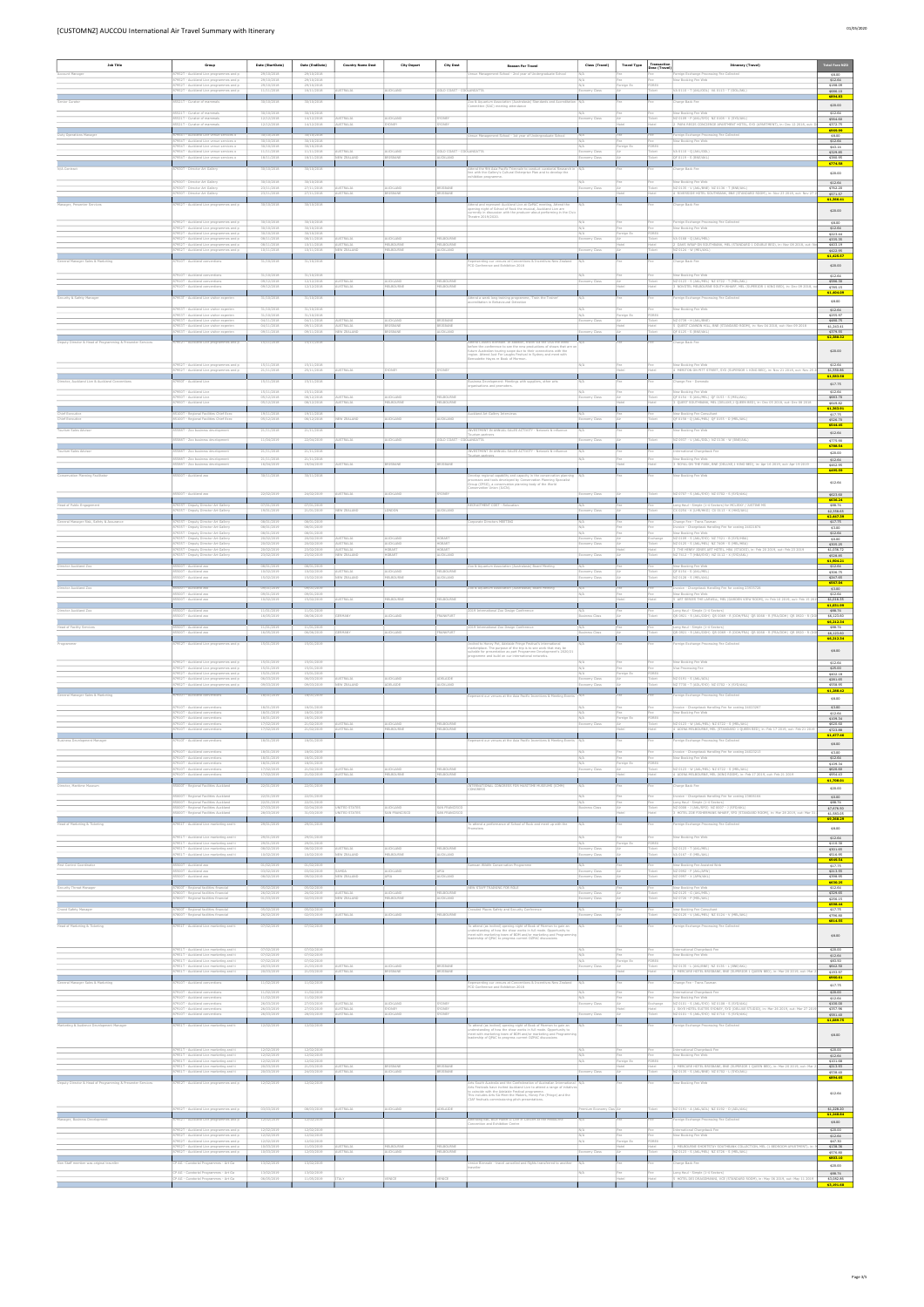| [CUSTOMNZ] AUCCOU International Air Travel Summary with Itinerary                                                                                                                                                                    |  |
|--------------------------------------------------------------------------------------------------------------------------------------------------------------------------------------------------------------------------------------|--|
| $\blacksquare$ . The contract of the contract of the contract of the contract of the contract of the contract of the contract of the contract of the contract of the contract of the contract of the contract of the contract of the |  |

| <b>Job Title</b>                                           | Group                                                                                                                         | Date (StartDate)                       | Date (EndDate)                         | <b>Country Name Dest</b>      | <b>City Depart</b>            | <b>City Dest</b>               |                                                                                                                                                                                                                                                                           | Class (Travel)               | <b>Travel Type</b> | Transactio           | <b>Itinerary (Travel)</b>                                                                                                                                              | Fotal Fare NZE                      |
|------------------------------------------------------------|-------------------------------------------------------------------------------------------------------------------------------|----------------------------------------|----------------------------------------|-------------------------------|-------------------------------|--------------------------------|---------------------------------------------------------------------------------------------------------------------------------------------------------------------------------------------------------------------------------------------------------------------------|------------------------------|--------------------|----------------------|------------------------------------------------------------------------------------------------------------------------------------------------------------------------|-------------------------------------|
| Account Manager                                            | 87952T - Auckland Live programmes and p<br>87952T - Auckland Live programmes and p                                            | 29/10/2018<br>29/10/2018               | 29/10/2018<br>29/10/2018               |                               |                               |                                | <b>Reason For Travel</b><br>Venue Management School - 2nd year of Undergraduate School                                                                                                                                                                                    | N/A                          |                    | Desc (Travel)        | Foreign Exchange Processing Fee Collected<br>New Booking Fee Web                                                                                                       | \$8.00<br>\$12.64                   |
|                                                            | 87952T - Auckland Live programmes and p<br>87952T - Auckland Live programmes and p                                            | 29/10/2018<br>11/11/2018               | 29/10/2018<br>16/11/2018               | USTRALIA                      | AUCKLAND                      | <b>OLD COAST - COOLANGATTA</b> |                                                                                                                                                                                                                                                                           | my Class                     | Foreign Ex         | FOREX<br>Ticket      | A 0110 - T (AKL/OOL) VA 0113 - T (OOL/AKL)                                                                                                                             | \$188.09<br>\$686.10                |
|                                                            | 21T - Curator of mammal:                                                                                                      | 30/10/2018                             | 30/10/2018                             |                               |                               |                                | o & Aquarium Asse<br>ommittee (SAC) meeting attendance                                                                                                                                                                                                                    |                              |                    |                      | arge Back Fer                                                                                                                                                          | \$894.83<br>\$20.00                 |
|                                                            | 85521T - Curator of mammals<br>85521T - Curator of mammals<br>85521T - Curator of mammals                                     | 30/10/2018<br>12/12/2018<br>12/12/2018 | 30/10/2018<br>14/12/2018<br>14/12/2018 | AUSTRALIA<br><b>AUSTRALIA</b> | UCKLAND<br><b>ONEY</b>        | <b>SYDNEY</b>                  |                                                                                                                                                                                                                                                                           | omy Class                    |                    |                      | New Booking Fee Web<br>NZ 0109 - P (AKL/SYD) NZ 0108 - X (SYD/AKL)<br>2 PARK REGIS CONCIERGE APARTMENT HOTEL, SYD (APARTMENT), in: Dec 12 2018, out: D                 | \$12.64<br>\$564.60<br>\$372.75     |
| Duty Operations Manager                                    | 87954T - Auckland Live venue services o                                                                                       | 30/10/2018                             | 30/10/2018                             |                               |                               |                                | Venue Management School - 1st year of Undergraduate School                                                                                                                                                                                                                |                              |                    |                      | Foreign Exchange Processing Fee Collected                                                                                                                              | \$969.99<br>\$8.00                  |
|                                                            | 87954T - Auckland Live venue services o<br>87954T - Auckland Live venue services o<br>87954T - Auckland Live venue services o | 30/10/2018<br>30/10/2018<br>11/11/2018 | 30/10/2018<br>30/10/2018<br>11/11/2018 | <b>AUSTRALIA</b>              | AUCKLAND                      | GOLD COAST - COOLANGATTA       |                                                                                                                                                                                                                                                                           | N/L<br>N/A<br>Economy Class  | Foreign Ex         | FOREX<br>Ticket      | New Booking Fee Web<br>VA 0110 - Q (AKL/OOL)                                                                                                                           | \$12.64<br>\$43.14<br>\$329.85      |
| N/A Contract                                               | 87954T - Auckland Live venue services o<br>87930T - Director Art Gallery                                                      | 18/11/2018<br>30/10/2018               | 18/11/2018<br>30/10/2018               | NEW ZEALAN                    | RISBANE                       | <b>AUCKLAND</b>                | ttend the 9th Asia Pacific Triennale to conduct curatorial Research in N/A                                                                                                                                                                                                | my Class                     |                    | Ticket               | OF 0119 - S (BNE/AKL<br>Charge Back Fee                                                                                                                                | \$380.95<br>\$774.58                |
|                                                            | 87930T - Director Art Gallery                                                                                                 | 30/10/2018                             | 30/10/2018                             |                               |                               |                                | ine with the Gallery's Cultural Enterprise Plan and to develop the<br>hibition programme.                                                                                                                                                                                 | N/A                          |                    | Fee:                 | New Booking Fee Web                                                                                                                                                    | \$20.00<br>\$12.64                  |
|                                                            | 87930T - Director Art Gallery<br>87930T - Director Art Gallery                                                                | 23/11/2018<br>23/11/2018               | 27/11/2018<br>27/11/2018               | AUSTRALIA<br><b>AUSTRALIA</b> | AUCKLAND                      | BRISBANE                       |                                                                                                                                                                                                                                                                           | onomy Class                  |                    | Ticket               | NZ 0135 - V (AKL/BNE) NZ 0136 - T (BNE/AKL)<br>4 RIVERSIDE HOTEL SOUTHBANK, BNE (STANDARD ROOM), in: Nov 23 2018, out: Nov 27 3                                        | \$762.20<br>\$571.57                |
| Manager, Presenter Services                                | 7952T - Auckland Live programmes and p                                                                                        | 30/10/2018                             | 30/10/2018                             |                               |                               |                                | ttend and represent Auckland Live at OzPAC meeting, Attend the<br>sening night of School of Rock the musical, Auckland Live are                                                                                                                                           |                              |                    |                      | harge Back Fee                                                                                                                                                         | \$1,366.41<br>\$20.00               |
|                                                            | 87952T - Auckland Live programmes and p                                                                                       | 30/10/2018                             | 30/10/2018                             |                               |                               |                                | rently in discussion with the producer about performing in the Civic<br>eatre 2019/2020.                                                                                                                                                                                  | N/A                          | Fee                | Fee                  | Foreign Exchange Processing Fee Collected                                                                                                                              | \$8.00                              |
|                                                            | 87952T - Auckland Live programmes and p<br>87952T - Auckland Live programmes and p<br>87952T - Auckland Live programmes and p | 30/10/2018<br>30/10/2018<br>08/11/2018 | 30/10/2018<br>30/10/2018<br>08/11/2018 | AUSTRALIA                     | AUCKLAND                      | MELBOURNI                      |                                                                                                                                                                                                                                                                           | N/A<br>N/A<br>Economy Class  | Foreign E:         | FOREX<br>Ticket      | New Booking Fee Web<br>VA 0168 - Q (AKL/MEL                                                                                                                            | \$12.64<br>\$223.44<br>\$335.35     |
|                                                            | 87952T - Auckland Live programmes and p<br>7952T - Auckland Live programmes and p                                             | 08/11/2018<br>10/11/2018               | 10/11/2018<br>10/11/2018               | AUSTRALIA<br><b>EW ZEALAN</b> | MELBOURNE<br><b>IFI BOURN</b> | MELBOURNE<br><b>LICKLAND</b>   |                                                                                                                                                                                                                                                                           |                              |                    | Hotel                | 2 OAKS WRAP ON SOUTHBANK, MEL (STANDARD 1 DOUBLE BED), in: Nov 08 2018, out: No<br>NZ 0124 - W (MEL/AKI                                                                | \$403.19<br>\$422.95                |
| General Manager Sales & Marketing                          | 87910T - Auckland conventions                                                                                                 | 31/10/2018                             | 31/10/2018                             |                               |                               |                                | esenting our venues at Conventions & Incentives New Zealand<br>CO Conference and Exhibition 2018                                                                                                                                                                          | N/A                          |                    |                      | Charge Back Fee                                                                                                                                                        | \$1,425.57<br>\$20.00               |
|                                                            | 87910T - Auckland conventions<br>87910T - Auckland conventions                                                                | 31/10/2018<br>09/12/2018               | 31/10/2018<br>12/12/2018               | <b>AUSTRALIA</b>              | <b>AUCKLAND</b>               | MELBOURNE                      |                                                                                                                                                                                                                                                                           | N/A<br>conomy Class          | Fee                | Fee<br>Ticket        | New Booking Fee Web<br>NZ 0123 - S (AKL/MEL) NZ 0722 - T (MEL/AKL)                                                                                                     | \$12.64<br>\$586.30                 |
| Security & Safety Manager                                  | 7910T - Auckland conventions<br>7953T - Auckland Live visitor experien                                                        | 09/12/2018<br>31/10/2018               | 12/12/2018<br>31/10/2018               | STRALIA                       | LBOURNE                       | ELBOURNE                       |                                                                                                                                                                                                                                                                           |                              |                    |                      | NOVOTEL MELBOURNE SOUTH WHARF, MEL (SUPERIOR 1 KING BED), in: Dec 09 2018,<br>reign Exchange Processing Fee Collected                                                  | \$785.15<br>\$1,404.09              |
|                                                            | 87953T - Auckland Live visitor experien                                                                                       | 31/10/2018                             | 31/10/2018                             |                               |                               |                                | tend a week long training programme, "Train the Traine<br>creditation in Behavioural Detection                                                                                                                                                                            |                              |                    |                      | New Booking Fee Web                                                                                                                                                    | \$8.00<br>\$12.64                   |
|                                                            | 87953T - Auckland Live visitor experien<br>87953T - Auckland Live visitor experien<br>87953T - Auckland Live visitor experier | 31/10/2018<br>04/11/2018<br>04/11/2018 | 31/10/2018<br>04/11/2018<br>09/11/2018 | AUSTRALIA<br><b>AUSTRALIA</b> | AUCKLAND<br>RISBAN            | BRISBANE<br>BRISBANE           |                                                                                                                                                                                                                                                                           | N/A<br>Economy Class         | Foreign Ex         | FOREX<br>Ticket      | NZ 0739 - H (AKL/BNE)<br>QUEST CANNON HILL, BNE (STANDARD ROOM), in: Nov 04 2018, out: Nov 09 2018                                                                     | \$255.97<br>\$480.75<br>\$1,243.41  |
|                                                            | 87953T - Auckland Live visitor experien                                                                                       | 09/11/2018                             | 09/11/2018                             | NEW ZEALAND                   | <b>ISBANE</b>                 | AUCKLAND                       |                                                                                                                                                                                                                                                                           | omy Class                    |                    | Ticket               | QF 0125 - S (BNE/AKL)                                                                                                                                                  | \$379.55<br>\$2,380.32              |
| Deputy Director & Head of Programming & Presenter Services | 87952T - Auckland Live programmes and p                                                                                       | 15/11/2018                             | 15/11/2018                             |                               |                               |                                | nd CINARS Biennale. In addition, travel via the USA the week<br>fore the conference to see the new productions of shows that are on<br>sture Australian touring scope due to their connections with the<br>egion. Attend Just For Laughs Festival in Sydney and meet with |                              |                    |                      | Charge Back Fee                                                                                                                                                        | \$20.00                             |
|                                                            | 87952T - Auckland Live programmes and p                                                                                       | 15/11/2018                             | 15/11/2018<br>25/11/2018               | <b>AUSTRALIA</b>              | <b>CONFY</b>                  | CVDMEY                         | nadette Hayes re Book of Mormon.                                                                                                                                                                                                                                          | N/A                          | Fee                | Fee                  | New Booking Fee Web                                                                                                                                                    | \$12.64                             |
| Director, Auckland Live & Auckland Conventions             | 87952T - Auckland Live programmes and p<br>87950T - Auckland Live                                                             | 21/11/2018<br>15/11/2018               | 15/11/2018                             |                               |                               |                                | usiness Development: Meetings with suppliers, other arts                                                                                                                                                                                                                  |                              |                    |                      | 4 MERITON ON PITT STREET, SYD (SUPERIOR 1 KING BED), in: Nov 21 2018, out: Nov 25 2<br>Change Fee - Domestic                                                           | \$1,550.86<br>\$1,583.50<br>\$17.75 |
|                                                            | 87950T - Auckland Live<br>87950T - Auckland Live                                                                              | 15/11/2018<br>05/12/2018               | 15/11/2018<br>08/12/2018               | AUSTRALIA                     | AUCKLAND                      | MELBOURNE                      | ganisations and promoters.                                                                                                                                                                                                                                                | Economy Class                |                    | Ticket               | lew Booking Fee Web<br>QF 0154 - S (AKL/MEL) QF 0153 - S (MEL/AKL)                                                                                                     | \$12.64<br>\$683.70                 |
|                                                            | 87950T - Auckland Live                                                                                                        | 05/12/2018                             | 08/12/2018                             | AUSTRALIA                     | MELBOURNE                     | MELBOURNE                      |                                                                                                                                                                                                                                                                           |                              |                    |                      | 3 OUEST SOUTHBANK, MEL (DELUXE.1 OUEEN BED), in: Dec 05 2018, out: Dec 08 2018                                                                                         | \$649.82<br>\$1,363.91              |
| Chief Executive<br>Chief Executive                         | 85100T - Regional Facilities Chief Exec<br>85100T - Regional Facilities Chief Exec                                            | 19/11/2018<br>05/12/2018               | 19/11/2018<br>06/12/2018               | NEW ZEALAND                   | AUCKLAND                      | AUCKLAND                       | uckland Art Gallery Interviews                                                                                                                                                                                                                                            | N/A<br>my Class              |                    | Fee<br><b>Ticket</b> | New Booking Fee Consultant<br>QF 0158 - Q (AKL/MEL) QF 0155 - O (MEL/AKL)                                                                                              | \$17.75<br>\$526.70<br>\$544.45     |
| Tourism Sales Advisor                                      | 85588T - Zoo business development<br>85588T - Zoo business development                                                        | 21/11/2018<br>11/04/2019               | 21/11/2018<br>22/04/2019               | AUSTRALIA                     | AUCKLAND                      | GOLD COAST - COOLANGATTA       | INVESTMENT IN ANNUAL SALES ACTIVITY - Network & influence<br>ourism partners                                                                                                                                                                                              | nomy Class                   |                    | Ticket               | lew Booking Fee Web<br>NZ 0937 - V (AKL/OOL) NZ 0136 - W (BNE/AKL)                                                                                                     | \$12.64<br>\$775.90                 |
| ourism Sales Adviso                                        | 88T - Zoo business development                                                                                                | 21/11/2018                             | 21/11/2018                             |                               |                               |                                | NVESTMENT IN ANNUAL SALES ACTIVITY - Network & influence                                                                                                                                                                                                                  |                              |                    |                      | national Chargeback Fer                                                                                                                                                | \$788.54<br>\$20.00                 |
|                                                            | 85588T - Zoo business development<br>85588T - Zoo business development                                                        | 21/11/2018<br>16/04/2019               | 21/11/2018<br>19/04/2019               | STRALIA                       |                               |                                |                                                                                                                                                                                                                                                                           | N/A                          | Fee                | Fee                  | New Booking Fee Web<br>ROYAL ON THE PARK, BNE (DELUXE,1 KING BED), in: Apr 16 2019, out: Apr 19 2019                                                                   | \$12.64<br>\$462.95                 |
| vation Planning Facilitator                                | 500T - Auckland zo                                                                                                            | 30/11/2018                             | 30/11/2018                             |                               |                               |                                | elop regional capability and capacity in the conservation plan<br>ocesses and tools developed by Conservation Planning Specialist<br>oup (CPSG), a conservation planning body of the World                                                                                |                              |                    |                      | ew Booking Fee Web                                                                                                                                                     | \$495.59<br>\$12.64                 |
|                                                            | 85500T - Auckland zoo                                                                                                         | 22/02/2019                             | 24/02/2019                             | STRALIA                       | UCKLAND                       |                                | nservation Union (IUCN).                                                                                                                                                                                                                                                  | my Class                     |                    |                      | NZ 0707 - S (AKL/SYD) NZ 0702 - S (SYD/AKL)                                                                                                                            | \$623.60                            |
| lead of Public Engagement                                  | 87935T - Deputy Director Art Gallery<br>7935T - Deputy Director Art Gallery                                                   | 07/01/2019<br>19/01/2019               | 07/01/2019<br>21/01/2019               | W ZEALAND                     |                               |                                | CRUITMENT COST - Relocation                                                                                                                                                                                                                                               |                              |                    |                      | Long Haul - Simple (1-4 Sectors) for MCLISKY / JUSTINE MS<br>(0254 - K (LHR/HKG) CX 0113 - K (HKG/AKL)                                                                 | \$636.24<br>\$88.74<br>\$2,358.65   |
| General Manager Risk, Safety & Assurance                   | 87935T - Deputy Director Art Gallery                                                                                          | 08/01/2019                             | 08/01/2019                             |                               |                               |                                | prporate Directors MEETING                                                                                                                                                                                                                                                |                              |                    |                      | Change Fee - Trans Tasma                                                                                                                                               | \$2,447.39<br>\$17.75               |
|                                                            | 87935T - Deputy Director Art Gallery<br>87935T - Deputy Director Art Gallery<br>87935T - Deputy Director Art Gallery          | 08/01/2019<br>08/01/2019<br>20/02/2019 | 08/01/2019<br>08/01/2019<br>20/02/2019 | <b>AUSTRALIA</b>              | NUCKLAND                      | HOBART                         |                                                                                                                                                                                                                                                                           | N/A<br>N/A<br>Economy Class  | Fee<br>Fee         | Fee<br>Exchange      | Invoice - Chargeback Handling Fee for costing 24021874<br>New Booking Fee Web<br>NZ 0109 - S (AKL/SYD) NZ 7521 - B (SYD/HBA)                                           | \$3.00<br>\$12.64<br>\$0.00         |
|                                                            | - Deputy Director Art Gallery<br>87935T - Deputy Director Art Gallery                                                         | 20/02/2019                             | 23/02/2019                             | <b>STRALIA</b><br>AUSTRALIA   | JCKLAND<br>HOBART             | HOBART                         |                                                                                                                                                                                                                                                                           | omv Class                    |                    |                      | 0125 - S (AKL/MEL) NZ 7409 - S (MEL/HB)<br>3 THE HENRY JONES ART HOTEL, HBA (STUDIO), in: Feb 20 2019, out: Feb 23 2019<br>NZ 7412 - T (HBA/SYD) NZ 0112 - X (SYD/AKL) | \$305.25<br>\$1,036.72              |
| irector Auckland Zoo                                       | 87935T - Deputy Director Art Gallery<br>00T - Auckland zoo                                                                    | 23/02/2019<br>08/01/2019               | 23/02/2019                             | NEW ZEALAND                   | HOBART                        | AUCKLAND                       | o & Aquarium Association (Australasia) Board Meeting                                                                                                                                                                                                                      | my Class                     |                    |                      | ew Booking Fee Web                                                                                                                                                     | \$528.85<br>\$1,904.21<br>\$12.64   |
|                                                            | 85500T - Auckland zoo<br>85500T - Auckland zoo                                                                                | 10/02/2019<br>15/02/2019               | 10/02/2019<br>15/02/2019               | AUSTRALIA<br>NEW ZEALAND      | AUCKLAND<br>MELBOURNE         | MELBOURNE<br><b>AUCKLAND</b>   |                                                                                                                                                                                                                                                                           | Economy Class<br>nomy Class  |                    | Ticket<br>Ticket     | QF 0154 - S (AKL/MEL)<br>NZ 0128 - S (MEL/AKL)                                                                                                                         | \$306.75<br>\$247.65                |
| Director Auckland Zoo                                      | 85500T - Auckland zoo<br>85500T - Auckland zoo                                                                                | 09/01/2019<br>09/01/2019               | 09/01/2019<br>09/01/2019               |                               |                               |                                | Zoo & Aquarium Association (Australasia) Board Meeting                                                                                                                                                                                                                    | N/A                          |                    | Fee                  | Invoice - Chargeback Handling Fee for costing 23935728<br>New Booking Fee Web                                                                                          | \$567.04<br>\$3.00<br>\$12.64       |
|                                                            | R5500T - Auckland zor<br>85500T - Auckland zoo                                                                                | 10/02/2019                             | 15/02/2019                             | <b>USTRALIA</b>               | <b>MELBOURNE</b>              | MEI BOLIRNE                    |                                                                                                                                                                                                                                                                           |                              |                    |                      | 5 ART SERIES THE LARWILL, MEL (GARDEN VIEW ROOM), in: Feb 10 2019, out: Feb 15 20                                                                                      | \$1,016.35<br>\$1,031.99            |
| Director Auckland Zoo                                      | 00T - Auckland zo                                                                                                             | 11/01/2019<br>16/05/2019               | 11/01/2019<br>08/06/2019               |                               | UCKLAND                       |                                | 019 International Zoo Design Conference                                                                                                                                                                                                                                   |                              |                    |                      | ong Haul - Simple (1-4 Sectors)<br>(R 0921 - R (AKL/DOH) QR 0069 - R (DOH/FRA) QR 0068 - R (FRA/DOH) QR 0920 - R (D                                                    | \$88.74<br>\$6,123.60<br>S6.212.34  |
| Head of Facility Services                                  | 85500T - Auckland zoo<br>5500T - Auckland zoc                                                                                 | 11/01/2019<br>16/05/2019               | 11/01/2019<br>06/06/2019               |                               | <b>JCKLAND</b>                |                                | 019 International Zoo Design Conference                                                                                                                                                                                                                                   | iess Class                   |                    | Fee                  | Long Haul - Simple (1-4 Sectors<br>QR 0921 - R (AKL/DOH) QR 0069 - R (DOH/FRA) QR 0068 - R (FRA/DOH) QR 0920 - R (D                                                    | \$88.74<br>\$6,123.60<br>\$6,212.34 |
|                                                            | 7952T - Auckland Live programmes and p                                                                                        | 15/01/2019                             | 15/01/2019                             |                               |                               |                                | nvited to Honey Pot, Adelaide Fringe Festival's international<br>narketplace. The purpose of the trip is to see work that may be<br>uitable for presentation as part Programme Development's 2020/21                                                                      |                              |                    |                      | oreign Exchange Processing Fee Collected                                                                                                                               | \$8.00                              |
|                                                            | 87952T - Auckland Live programmes and p                                                                                       | 15/01/2019                             | 15/01/2019                             |                               |                               |                                | rogramme and build on our international networks.                                                                                                                                                                                                                         | N/A                          |                    | Fee                  | New Booking Fee Web                                                                                                                                                    | \$12.64                             |
|                                                            | 87952T - Auckland Live programmes and p<br>87952T - Auckland Live programmes and p<br>87952T - Auckland Live programmes and p | 15/01/2019<br>15/01/2019<br>06/03/2019 | 15/01/2019<br>15/01/2019<br>06/03/2019 | AUSTRALIA                     | AUCKLAND                      | ADELAIDE                       |                                                                                                                                                                                                                                                                           | N/A<br>N/A<br>Economy Class  | Foreign Ex         | FOREX<br>Ticket      | Visa Processing Fee<br>NZ 0191 - S (AKL/ADL)                                                                                                                           | \$25.00<br>\$402.18<br>\$281.65     |
|                                                            | 87952T - Auckland Live programmes and p                                                                                       | 09/03/2019                             | 09/03/2019                             | NEW ZEALAN                    | ADELAIDE                      | AUCKLAND                       |                                                                                                                                                                                                                                                                           | omy Class                    |                    | icket.               | NZ 7730 - T (ADL/SYD) NZ 0702 - X (SYD/AKL                                                                                                                             | \$558.95<br>\$1,288.42              |
| General Manager Sales & Marketing                          | 87910T - Auckland conventions<br>87910T - Auckland conventions                                                                | 18/01/2019<br>18/01/2019               | 18/01/2019<br>18/01/2019               |                               |                               |                                | present our venues at the Asia Pacific Incentives & Meeting Events   N/A                                                                                                                                                                                                  | N/A                          | Fee<br>Fee         | Fee:<br>Fee          | oreign Exchange Processing Fee Collected<br>Invoice - Chargeback Handling Fee for costing 24023267                                                                     | \$8.00<br>\$3.00                    |
|                                                            | 87910T - Auckland conventions<br>87910T - Auckland conventions<br>87910T - Auckland conventions                               | 18/01/2019<br>18/01/2019               | 18/01/2019<br>18/01/2019<br>21/02/2019 |                               |                               |                                |                                                                                                                                                                                                                                                                           | N/A<br>$\overline{N/A}$      | Foreign Ex         | FOREX                | New Booking Fee Web                                                                                                                                                    | \$12.64<br>\$109.34                 |
|                                                            | 87910T - Auckland convention                                                                                                  | 17/02/2019<br>17/02/2019               | 21/02/2019                             | AUSTRALIA<br><b>AUSTRALIA</b> | AUCKLAND<br><b>ELBOURNE</b>   | MELBOURNE<br><b>IELBOURNE</b>  |                                                                                                                                                                                                                                                                           | Economy Class                |                    | Ticket               | NZ 0123 - W (AKL/MEL) NZ 0722 - S (MEL/AKL)<br>4 ADINA MELBOURNE, MEL (STANDARD 1 QUEEN BED), in: Feb 17 2019, out: Feb 21 2019                                        | \$620.60<br>\$723.88<br>\$1,477.46  |
| iness Development Manager                                  | 37910T - Auckland conventions                                                                                                 | 18/01/2019                             | 18/01/2019                             |                               |                               |                                | resent our venues at the Asia Pacific Incentives & Meeting Events                                                                                                                                                                                                         |                              |                    |                      | eign Exchange Processing Fee Collected                                                                                                                                 | \$8.00                              |
|                                                            | 87910T - Auckland conventions<br>87910T - Auckland conventions<br>87910T - Auckland conventions                               | 18/01/2019<br>18/01/2019<br>18/01/2019 | 18/01/2019<br>18/01/2019<br>18/01/2019 |                               |                               |                                |                                                                                                                                                                                                                                                                           | $\overline{N}$<br>N/A        | Foreign Ex         | FOREX                | Invoice - Chargeback Handling Fee for costing 24023213<br>New Booking Fee Web                                                                                          | \$3.00<br>\$12.64<br>\$109.34       |
|                                                            | 87910T - Auckland conventions<br>87910T - Auckland conventions                                                                | 17/02/2019<br>17/02/2019               | 21/02/2019<br>21/02/2019               | <b>AUSTRALIA</b><br>AUSTRALIA | AUCKLAND<br>ELBOURNE          | MELBOURNE<br>MELBOURNE         |                                                                                                                                                                                                                                                                           | Economy Class                |                    | Ticket               | NZ 0123 - W (AKL/MEL) NZ 0722 - S (MEL/AKL)<br>4 ADINA MELBOURNE, MEL (KING ROOM), in: Feb 17 2019, out: Feb 21 2019                                                   | \$620.60<br>\$954.43<br>\$1,708.01  |
| Director, Maritime Museum                                  | 85000T - Regional Facilities Auckland                                                                                         | 22/01/2019                             | 22/01/2019                             |                               |                               |                                | INTERNATIONAL CONGRESS FOR MARITIME MUSEUMS (ICMM)<br>CONGRESS                                                                                                                                                                                                            |                              |                    |                      | Charge Back Fee                                                                                                                                                        | \$20.00                             |
|                                                            | 85000T - Regional Facilities Auckland<br>85000T - Regional Facilities Auckland<br>85000T - Regional Facilities Auckland       | 22/01/2019<br>22/01/2019<br>27/03/2019 | 22/01/2019<br>22/01/2019<br>02/04/2019 | UNITED STATES                 | AUCKLAND                      | SAN FRANCISCO                  |                                                                                                                                                                                                                                                                           | N/A<br><b>Business Class</b> | Fee<br>Air         | Fee<br>Ticket        | roice - Chargeback Handling Fee for costing 23806164<br>Long Haul - Simple (1-4 Sectors)<br>NZ 0008 - J (AKL/SFO) NZ 0007 - J (SFO/AKL)                                | \$0.00<br>\$88.74<br>\$7,676.50     |
|                                                            | 00T - Regional Facilities Auckland                                                                                            | 28/03/2019                             | 31/03/2019                             | <b>ITED STATES</b>            | AN FRANCISC                   | AN FRANCISC                    |                                                                                                                                                                                                                                                                           |                              |                    |                      | HOTEL ZOE FISHERMANS WHARF, SFO (STANDARD ROOM), in: Mar 28 2019, out: Mar 31                                                                                          | \$1,583.05<br>\$9,368.29            |
| Head of Marketing & Ticketing                              | 37951T - Auckland Live marketing and ti<br>87951T - Auckland Live marketing and ti                                            | 29/01/2019<br>29/01/2019               | 29/01/2019<br>29/01/2019               |                               |                               |                                | o attend a performance of School of Rock and meet up with the                                                                                                                                                                                                             | N/A                          |                    |                      | reign Exchange Processing Fee Collected<br>New Booking Fee Web                                                                                                         | \$8.00                              |
|                                                            | 87951T - Auckland Live marketing and ti<br>87951T - Auckland Live marketing and ti                                            | 29/01/2019<br>08/02/2019               | 29/01/2019<br>08/02/2019               | AUSTRALIA                     | AUCKLAND                      | MELBOURNE                      |                                                                                                                                                                                                                                                                           | N/A<br>Economy Class         | Foreign Ex         | FOREX<br>Ticket      | NZ 0123 - T (AKL/MEL)                                                                                                                                                  | \$12.64<br>\$110.30<br>\$301.65     |
| Pest Control Coordinator                                   | 87951T - Auckland Live marketing and ti<br>85500T - Auckland zoo                                                              | 10/02/2019<br>01/02/2019               | 10/02/2019<br>01/02/2019               | NEW ZEALAND                   | MELBOURNE                     | AUCKLAND                       | moan Wildife Conservation Programme                                                                                                                                                                                                                                       | my Class<br>N/A              |                    | Ticket               | VA 0167 - E (MEL/AKL)<br>New Booking Fee Assisted Web                                                                                                                  | \$516.95<br>\$949.54<br>\$17.75     |
|                                                            | 85500T - Auckland zoo<br>85500T - Auckland zoc                                                                                | 03/02/2019<br>08/02/2019               | 03/02/2019<br>09/02/2019               | SAMOA<br>NEW ZEALAN           | AUCKLAND                      | APIA<br>AUCKLAND               |                                                                                                                                                                                                                                                                           | onomy Class<br>my Class      |                    | Ticket               | NZ 0992 - P (AKL/APW)<br>NZ 0997 - X (APW/AKL                                                                                                                          | \$213.55<br>\$398.95                |
| Security Threat Manager                                    | 87800T - Regional facilities financial<br>87800T - Regional facilities financial                                              | 05/02/2019<br>26/02/2019               | 05/02/2019<br>26/02/2019               | <b>AUSTRALIA</b>              | AUCKLAND                      | MELBOURNE                      | NEW STAFF TRAINING FOR ROLE                                                                                                                                                                                                                                               | onomy Class                  |                    | Fee<br>Ticket        | New Booking Fee Web<br>NZ 0125 - G (AKL/MEL)                                                                                                                           | \$630.25<br>\$12.64<br>\$329.65     |
|                                                            | 87800T - Regional facilities financial                                                                                        | 01/03/2019                             | 02/03/2019                             | NEW ZEALAN                    | <b>IELBOURN</b>               | AUCKLAND                       |                                                                                                                                                                                                                                                                           | ny Class                     |                    | Ticket               | NZ 0726 - P (MEL/AKL)                                                                                                                                                  | \$256.15<br>\$598.44                |
| Crowd Safety Manager                                       | 87800T - Regional facilities financial<br>87800T - Regional facilities financial                                              | 05/02/2019<br>26/02/2019               | 05/02/2019<br>02/03/2019               | USTRALIA                      | <b>AUCKLAND</b>               | MELBOURNE                      | wded Places Safety and Security Conference                                                                                                                                                                                                                                | my Class                     |                    | Fee<br>Ticket        | New Booking Fee Consultant<br>NZ 0125 - V (AKL/MEL) NZ 0124 - V (MEL/AKL                                                                                               | \$17.75<br>\$796.80<br>\$814.55     |
| Head of Marketing & Ticketing                              | 37951T - Auckland Live marketing and ti                                                                                       | 07/02/2019                             | 07/02/2019                             |                               |                               |                                | To attend (as invited) opening night of Book of Mormon to gain an<br>understanding of how the show works in full mode. Opportunity to<br>neet with marketing team of BOM and/or marketing and Programm                                                                    |                              |                    |                      | oreign Exchange Processing Fee Collected                                                                                                                               | \$8.00                              |
|                                                            | 87951T - Auckland Live marketing and ti                                                                                       | 07/02/2019                             | 07/02/2019                             |                               |                               |                                | edership of QPAC to progress current OZPAC discussi                                                                                                                                                                                                                       |                              |                    |                      | International Chargeback Fee                                                                                                                                           | \$20.00                             |
|                                                            | 87951T - Auckland Live marketing and ti<br>87951T - Auckland Live marketing and ti                                            | 07/02/2019<br>07/02/2019               | 07/02/2019<br>07/02/2019               |                               |                               |                                |                                                                                                                                                                                                                                                                           | N/A<br>N/A                   | Foreign Ex         | FOREX                | New Booking Fee Web                                                                                                                                                    | \$12.64<br>\$83.50                  |
|                                                            | 87951T - Auckland Live marketing and ti<br>951T - Auckland Live marketing and ti                                              | 20/03/2019<br>20/03/2019               | 21/03/2019<br>21/03/2019               | AUSTRALIA<br>TRALIA           | AUCKLAND                      | <b>BRISBANE</b>                |                                                                                                                                                                                                                                                                           | Economy Class                |                    | Ticket               | NZ 0135 - L (AKL/BNE) NZ 0136 - L (BNE/AKL)<br>MERCURE HOTEL BRISBANE, BNE (SUPERIOR 1 QUEEN BED), in: Mar 20 2019, out: Mar 2                                         | \$642.50<br>\$193.97<br>\$960.61    |
| General Manager Sales & Marketing                          | 7910T - Auckland conventions<br>87910T - Auckland conventions                                                                 | 11/02/2019<br>11/02/2019               | 11/02/2019<br>11/02/2019               |                               |                               |                                | Representing our venues at Conventions & Incentives New Zealand<br>PCO Conference and Exhibition 2018                                                                                                                                                                     | N/A                          | Fee                | Fee                  | hange Fee - Trans Tasmar<br>International Chargeback Fee                                                                                                               | \$17.75<br>\$20.00                  |
|                                                            | 87910T - Auckland conventi<br>87910T - Auckland conventions<br>87910T - Auckland conventions                                  | 11/02/2019<br>26/03/2019<br>26/03/2019 | 11/02/2019<br>27/03/2019<br>27/03/2019 | AUSTRALIA<br>AUSTRALIA        | AUCKLAND<br>YDNEY             | <b>SYDNEY</b><br>SYDNEY        |                                                                                                                                                                                                                                                                           | Economy Class                | Air                | Exchange             | New Booking Fee Wel<br>NZ 0101 - S (AKL/SYD) NZ 0108 - S (SYD/AKL)<br>1 SKYE HOTEL SUITES SYDNEY, SYD (DELUXE STUDIO), in: Mar 26 2019, out: Mar 27 201                | \$12.64<br>\$100.00                 |
|                                                            | 910T - Auckland conventions                                                                                                   | 26/03/2019                             | 28/03/2019                             | <b>ISTRALIA</b>               | UCKLAND                       |                                |                                                                                                                                                                                                                                                                           | my Class                     |                    |                      | (2 0101 - S (AKL/SYD) NZ 0710 - S (SYD/AKI                                                                                                                             | \$357.96<br>\$581.40<br>\$1,089.75  |
| Marketing & Audience Development Manager                   | 7951T - Auckland Live marketing and ti                                                                                        | 12/02/2019                             | 12/02/2019                             |                               |                               |                                | .<br>In attend (as invited) opening night of Book of Mormon to gain an<br>Inderstanding of how the show works in full mode. Opportunity to<br>eet with marketing team of BOM and/or marketing and Programn                                                                |                              |                    |                      | oreign Exchange Processing Fee Collected                                                                                                                               | \$8.00                              |
|                                                            | 87951T - Auckland Live marketing and ti                                                                                       | 12/02/2019                             | 12/02/2019                             |                               |                               |                                | dership of QPAC to progress current OZPAC discussio                                                                                                                                                                                                                       | N/A                          |                    |                      | International Charneback Fee                                                                                                                                           | \$20,00                             |
|                                                            | 87951T - Auckland Live marketing and ti<br>7951T - Auckland Live marketing and ti                                             | 12/02/2019<br>12/02/2019               | 12/02/2019<br>12/02/2019               |                               |                               |                                |                                                                                                                                                                                                                                                                           | N/A                          | oreign Ex          | FOREX                | New Booking Fee Web                                                                                                                                                    | \$12.64<br>\$101.68                 |
|                                                            | 87951T - Auckland Live marketing and till<br>87951T - Auckland Live marketing and ti                                          | 20/03/2019<br>20/03/2019               | 21/03/2019<br>24/03/2019               | AUSTRALIA<br>AUSTRALIA        | BRISBANE<br>AUCKLAND          | BRISBANE<br><b>TSRANE</b>      |                                                                                                                                                                                                                                                                           | omy Class                    |                    |                      | MERCURE HOTEL BRISBANE, BNE (SUPERIOR 1 OUEEN BED), in: Mar 20 2019, out: Mar 2<br>NZ 0135 - S (AKL/BNE) NZ 0702 - L (SYD/AKL)                                         | \$213.93<br>\$538.40<br>\$894.65    |
| Deputy Director & Head of Programming & Presenter Services | 952T - Auckland Live programmes and p                                                                                         | 12/02/2019                             | 12/02/2019                             |                               |                               |                                | ts South Australia and the Confederation of Australian Int<br>Arts Festivals have invited Auckland Live to attend a range of initatives<br>o coincide with the Adelaide Festival programme.                                                                               |                              |                    |                      | ew Booking Fee Web                                                                                                                                                     |                                     |
|                                                            |                                                                                                                               |                                        |                                        |                               |                               |                                | is includes Arts SA Meet the Makers, Honey Pot (Fringe) and the<br>CIAF festivals commissioning pitch presentations.                                                                                                                                                      |                              |                    |                      |                                                                                                                                                                        | \$12.64                             |
| lanager, Business Development                              | 87952T - Auckland Live programmes and p<br>37952T - Auckland Live programmes and p                                            | 03/03/2019                             | 08/03/2019                             | AUSTRALIA                     | AUCKLAND                      | ADELAIDE                       | nding BBC Blue Planet II Live in Concert at the Melbourne                                                                                                                                                                                                                 | mium Economy Clas            |                    |                      | NZ 0191 - A (AKL/ADL) NZ 0192 - O (ADL/AKL)<br>reign Exchange Processing Fee Collected                                                                                 | \$1,228,20<br>\$1,240.84            |
|                                                            | 7952T - Auckland Live programmes and p                                                                                        | 12/02/2019<br>12/02/2019               | 12/02/2019<br>12/02/2019               |                               |                               |                                | nvention and Exhibition Centre                                                                                                                                                                                                                                            |                              |                    |                      | ternational Chargeback Fee                                                                                                                                             | \$8,00<br>\$20.00                   |
|                                                            | 87952T - Auckland Live programmes and p<br>87952T - Auckland Live programmes and p<br>87952T - Auckland Live programmes and p | 12/02/2019<br>12/02/2019<br>10/03/2019 | 12/02/2019<br>12/02/2019<br>11/03/2019 | USTRALIA                      | ELBOURNE                      | MELBOURNE                      |                                                                                                                                                                                                                                                                           | N/A<br>N/A                   | Fee<br>Foreign Ex  | FOREX                | New Booking Fee Web<br>MELBOURNE SHORTSTAY SOUTHBANK COLLECTION, MEL (1 BEDROOM APARTMENT), in:                                                                        | \$12.64<br>\$47.30<br>\$138.36      |
|                                                            | 87952T - Auckland Live programmes and p                                                                                       | 10/03/2019                             | 12/03/2019                             | <b>AUSTRALIA</b>              | AUCKLAND                      | MELBOURNE                      |                                                                                                                                                                                                                                                                           | omy Clas                     |                    | Ticket               | NZ 0123 - S (AKL/MEL) NZ 0726 - S (MEL/AKL                                                                                                                             | \$576.80<br>\$803.10                |
| Non Staff member was original traveller                    | CP AG - Curatorial Programmes - Art Ga<br>CP AG - Curatorial Programmes - Art Ga                                              | 13/02/2019<br>13/02/2019               | 13/02/2019<br>13/02/2019               |                               |                               |                                | enice Biennale - travel cancelled and flights transferred to another<br>aveller                                                                                                                                                                                           | N/A                          |                    | Fee<br>Fee           | harge Back Fee<br>Long Haul - Simple (1-4 Sectors)                                                                                                                     | \$20.00<br>\$88,74                  |
|                                                            | CP AG - Curatorial Programmes - Art Ga                                                                                        | 06/05/2019                             | 11/05/2019                             |                               | <b>FNICE</b>                  |                                |                                                                                                                                                                                                                                                                           |                              |                    |                      | HOTEL DEI DRAGOMANNI, VCE (STANDARD ROOM), in: May 06 2019, out: May 11 2019                                                                                           | \$3,082.86<br>\$3,191.60            |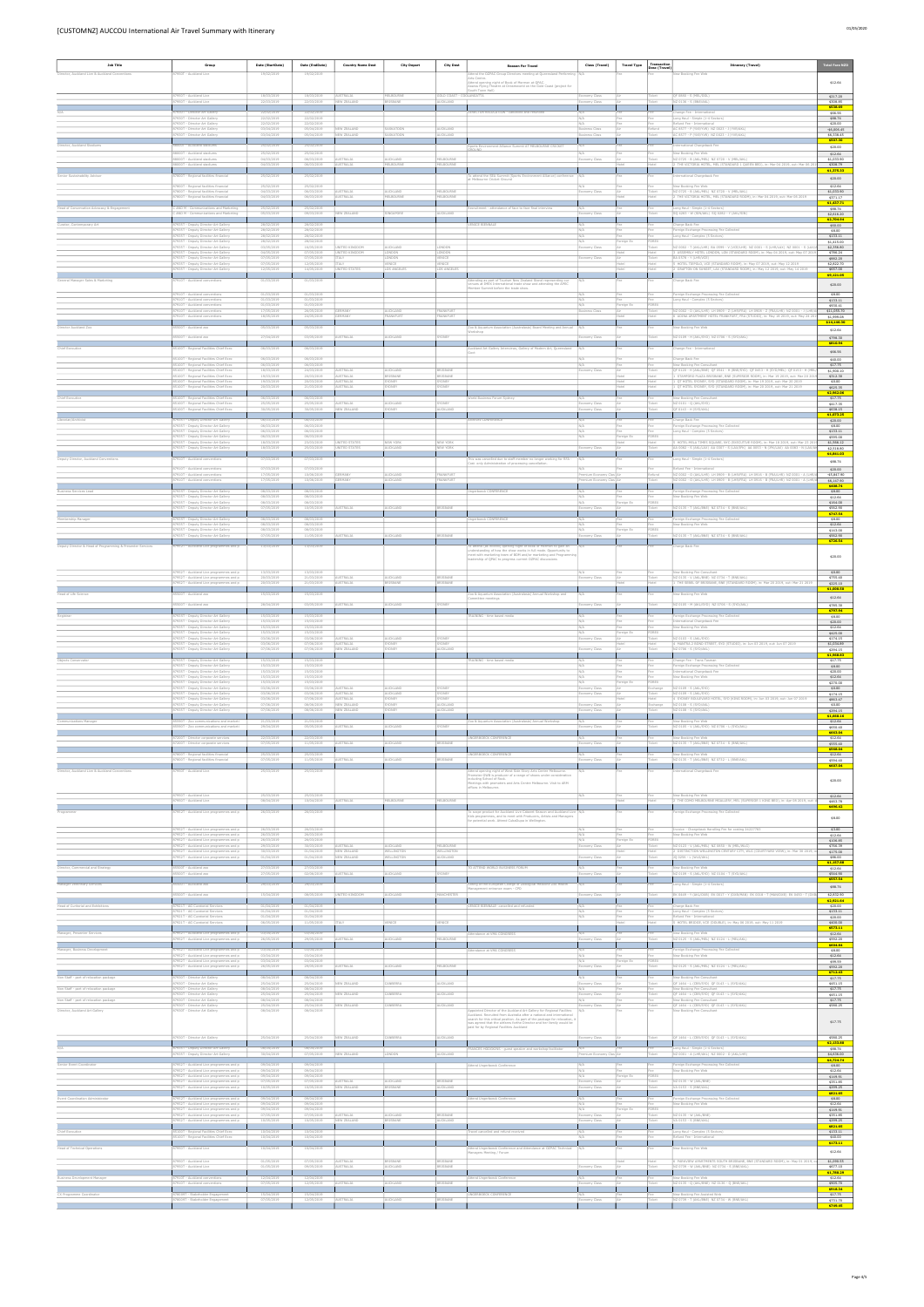| <b>Job Title</b>                                     | Group                                                                                                                         | Date (StartDate)                       | Date (EndDate)                         | <b>Country Name Dest</b>              | <b>City Depart</b>           | <b>City Dest</b>              | <b>Reason For Travel</b>                                                                                                                                                                      | Class (Travel)                                      | <b>Travel Type</b> | Transactio<br>Desc (Travel) | Itinerary (Travel)                                                                                                                                                                                    | <b>Total Fare NZD</b>                  |
|------------------------------------------------------|-------------------------------------------------------------------------------------------------------------------------------|----------------------------------------|----------------------------------------|---------------------------------------|------------------------------|-------------------------------|-----------------------------------------------------------------------------------------------------------------------------------------------------------------------------------------------|-----------------------------------------------------|--------------------|-----------------------------|-------------------------------------------------------------------------------------------------------------------------------------------------------------------------------------------------------|----------------------------------------|
| Director, Auckland Live & Auckland Conventions       | 950T - Auckland Live                                                                                                          | 19/02/2019                             | 19/02/2019                             |                                       |                              |                               | tend the OZPAC Group Directors meeting at Queensland Performin<br>Arts Centre.<br>Attend opening night of Book of Mormon at QPAC.                                                             |                                                     |                    |                             | w Booking Fee Web                                                                                                                                                                                     | \$12.64                                |
|                                                      | 87950T - Auckland Live                                                                                                        | 18/03/2019                             | 18/03/2019                             | AUSTRALIA                             | MELBOURNE                    | GOLD COAST - COOLANGATTA      | Assess Flying Theatre at Dreamworld on the Gold Coast (project for<br>jouth Town Hall)                                                                                                        | Economy Class                                       |                    | Ticket                      | QF 0880 - S (MEL/OOL)                                                                                                                                                                                 | \$217.20                               |
|                                                      | 87950T - Auckland Live                                                                                                        | 22/03/2019                             | 22/03/2019                             | NEW ZEALAND                           | <b>ISBANE</b>                | AUCKLAND                      |                                                                                                                                                                                               | omy Class                                           |                    | icket                       | NZ 0136 - S (BNE/AKL)                                                                                                                                                                                 | \$308.85<br>\$538.69                   |
|                                                      | 87930T - Director Art Gallery<br>87930T - Director Art Gallery<br>87930T - Director Art Gallery                               | 22/02/2019<br>22/02/2019<br>22/02/2019 | 22/02/2019<br>22/02/2019<br>22/02/2019 |                                       |                              |                               | DIRECTOR RELOCATION - cancelled and refunded                                                                                                                                                  | N/A<br>N/A                                          |                    | Fee<br>Fee                  | Change Fee - International<br>Long Haul - Simple (1-4 Sectors)<br>tefund Fee - Internation                                                                                                            | \$66.56<br>\$88,74<br>\$20.00          |
|                                                      | 87930T - Director Art Gallery<br>87930T - Director Art Gallery                                                                | 03/04/2019<br>03/04/2019               | 05/04/2019<br>05/04/2019               | NEW ZEALAND<br>NEW ZEALAND            | SASKATOON<br>ASKATOON        | AUCKLAND<br>AUCKLAND          |                                                                                                                                                                                               | <b>Business Class</b><br><b>Business Class</b>      |                    | Refund<br>Ticket            | AC 8577 - P (YXE/YVR) NZ 0023 - J (YVR/AKL)<br>AC 8577 - P (YXE/YVR) NZ 0023 - J (YVR/AKL)                                                                                                            | $-56,006.45$<br>\$6,338.45             |
| Director, Auckland Stadiums                          | 8000T - Auckland stadiums<br>88000T - Auckland stadium                                                                        | 25/02/2019<br>25/02/2019               | 25/02/2019<br>25/02/2019               |                                       |                              |                               | ports Environment Alliance Summit AT MELBOURNE CRICKET                                                                                                                                        | N/A                                                 |                    |                             | iternational Chargeback Fee<br>New Booking Fee We                                                                                                                                                     | \$507.30<br>\$20.00                    |
|                                                      | 88000T - Auckland stadiums<br>88000T - Auckland stadiums                                                                      | 04/03/2019<br>04/03/2019               | 06/03/2019<br>06/03/2019               | AUSTRALIA<br><b>USTRALIA</b>          | AUCKLAND<br>MELBOURNE        | MELBOURNE<br>MELBOURNE        |                                                                                                                                                                                               | Economy Class                                       |                    | Ticket                      | NZ 0725 - B (AKL/MEL) NZ 0720 - V (MEL/AKL)<br>2 THE VICTORIA HOTEL, MEL (STANDARD 1 OUEEN BED), in: Mar 04 2019, out: Mar 06 20                                                                      | \$12.64<br>\$1,033.90<br>\$308.79      |
| Senior Sustainability Advisor                        | 87800T - Regional facilities financial                                                                                        | 25/02/2019                             | 25/02/2019                             |                                       |                              |                               | To attend the SEA Summit (Sports Environment Alliance) conference   N/A<br>st Melbourne Cricket Ground                                                                                        |                                                     |                    |                             | International Chargeback Fee                                                                                                                                                                          | \$1,375.33<br>\$20.00                  |
|                                                      | 87800T - Regional facilities financial<br>87800T - Regional facilities financial                                              | 25/02/2019<br>04/03/2019               | 25/02/2019<br>06/03/2019               | AUSTRALIA                             | AUCKLAND                     | MELBOURNE                     |                                                                                                                                                                                               | N/L<br>Economy Class                                |                    | Ticket                      | New Booking Fee Web<br>NZ 0725 - B (AKL/MEL) NZ 0720 - V (MEL/AKL)                                                                                                                                    | \$12.64<br>\$1,033.90                  |
|                                                      | 37800T - Regional facilities financial                                                                                        | 04/03/2019<br>25/02/2019               | 06/03/2019                             | USTRALIA                              | ELBOURNE                     | MELBOURNE                     |                                                                                                                                                                                               |                                                     |                    |                             | THE VICTORIA HOTEL, MEL (STANDARD ROOM), in: Mar 04 2019, out: Mar 06 2019                                                                                                                            | \$371.17<br>\$1,437.71                 |
| Head of Conservation Advocacy & Engagement           | C AND M - Communications and Marketing<br>AND M - Communications and Marketing                                                | 05/03/2019                             | 25/02/2019<br>09/03/2019               | NEW ZEALAND                           | INGAPORE                     | AUCKLAND                      | Recruitment - attendance of face to face final interview                                                                                                                                      | N/A<br>my Class                                     |                    | Fee<br>Ticket               | Long Haul - Simple (1-4 Sectors)<br>SO 4283 - W (SIN/AKL) SO 0282 - Y (AKL/SIN                                                                                                                        | \$88.74<br>\$2,616.20<br>\$2,704.94    |
| Curator, Contemporary Art                            | 87935T - Deputy Director Art Gallery<br>87935T - Deputy Director Art Gallery                                                  | 28/02/2019<br>28/02/2019               | 28/02/2019<br>28/02/2019               |                                       |                              |                               | VENICE BIENNALE                                                                                                                                                                               | N/F<br>N/A                                          |                    | Fee                         | Charge Back Fee<br>Foreign Exchange Processing Fee Collected                                                                                                                                          | \$60.00<br>\$8.00                      |
|                                                      | 87935T - Deputy Director Art Gallery<br>87935T - Deputy Director Art Gallery<br>87935T - Deputy Director Art Gallery          | 28/02/2019<br>28/02/2019<br>03/05/2019 | 28/02/2019<br>28/02/2019<br>16/05/2019 | INITED KINGDON                        | AUCKLAND                     | LONDON                        |                                                                                                                                                                                               | N/A<br>N/A<br>Economy Class                         | oreign Ex          | FOREX<br>Ticket             | ong Haul - Complex (5 Sectors)<br>NZ 0002 - T (AKL/LHR) BA 0599 - V (VCE/LHR) NZ 0001 - S (LHR/LAX) NZ 0001 - S (LAX                                                                                  | \$133.11<br>\$1,415.00<br>\$2,356.80   |
|                                                      | 87935T - Deputy Director Art Gallery<br>87935T - Deputy Director Art Gallery                                                  | 04/05/2019<br>07/05/2019               | 07/05/2019<br>07/05/2019               | UNITED KINGDON<br><b>ITALY</b>        | ONDON<br><b>MOONO</b>        | <b>MOON</b><br>VENICE         |                                                                                                                                                                                               | Economy Class                                       |                    | Ticket                      | ASSEMBLY HOTEL LONDON, LON (STANDARD ROOM), in: May 04 2019, out: May 07 20<br>BA 0578 - Y (LHR/VCE)                                                                                                  | \$786.24<br>\$882.20                   |
|                                                      | 87935T - Deputy Director Art Gallery<br>37935T - Deputy Director Art Gallery                                                  | 07/05/2019<br>12/05/2019               | 12/05/2019<br>14/05/201                | <b>TAIY</b><br>NITED STATES           | ENICE<br>OS ANGELES          | VENICE<br>OS ANGELES          |                                                                                                                                                                                               |                                                     |                    |                             | 5 HOTEL TIEPOLO, VCE (STANDARD ROOM), in: May 07 2019, out: May 12 2019<br>GRAFTON ON SUNSET, LAX (STANDARD ROOM), in: May 12 2019, out: May 14 2019                                                  | \$2,822.70<br>\$657.00<br>\$9,121.05   |
| General Manager Sales & Marketing                    | 37910T - Auckland conventions                                                                                                 | 01/03/2019                             | 01/03/2019                             |                                       |                              |                               | ttending as part of Tourism New Zealand Stand representing our<br>enues at IMEX International trade show and attending the APEC<br>mber Summit before the trade show                          |                                                     |                    |                             | Charge Back Fee                                                                                                                                                                                       | \$20.00                                |
|                                                      | 87910T - Auckland conventions<br>87910T - Auckland conventions                                                                | 01/03/2019<br>01/03/2019               | 01/03/2019<br>01/03/2019               |                                       |                              |                               |                                                                                                                                                                                               | N/A<br>$\mathsf{N}/\mathsf{A}$                      |                    | Fee                         | Foreign Exchange Processing Fee Collected<br>Long Haul - Complex (5 Sectors)                                                                                                                          | \$8.00<br>\$133.11                     |
|                                                      | 87910T - Auckland conventions<br>87910T - Auckland conventions<br>87910T - Auckland convention                                | 01/03/2019<br>17/05/2019<br>18/05/2019 | 01/03/2019<br>26/05/2019<br>24/05/2019 | GERMAN<br><b>FRMANY</b>               | AUCKLAND<br><b>RANKELIRT</b> | FRANKFURT<br><b>FRANKFURT</b> |                                                                                                                                                                                               | N/A<br><b>Business Class</b>                        | oreign Ex          | FOREX<br>Ticket             | NZ 0002 - D (AKL/LHR) LH 0909 - Z (LHR/FRA) LH 0908 - Z (FRA/LHR) NZ 0001 - J (LHR/A<br>6 ADINA APARTMENT HOTEL FRANKFURT, FRA (STUDIO), in: May 18 2019, out: May 24 20                              | \$930.41<br>\$11,055,70<br>\$1,999.08  |
| Director Auckland Zoo                                | 5500T - Auckland zoo                                                                                                          | 05/03/2019                             | 05/03/2019                             |                                       |                              |                               | Coo & Aquarium Association (Australasia) Board Meeting and Annual                                                                                                                             | N/A                                                 |                    |                             | New Booking Fee Web                                                                                                                                                                                   | \$14,146.30<br>\$12.64                 |
|                                                      | 85500T - Auckland zoo                                                                                                         | 27/04/2019                             | 03/05/2019                             | <b>AUSTRALIA</b>                      | AUCKLAND                     | SYDNEY                        | orkshop                                                                                                                                                                                       | nomy Class                                          |                    | Ticket                      | NZ 0109 - H (AKL/SYD) NZ 0706 - S (SYD/AKL)                                                                                                                                                           | \$798.30<br>\$810.94                   |
| Chief Executive                                      | 85100T - Regional Facilities Chief Exec                                                                                       | 06/03/2019                             | 06/03/2019                             |                                       |                              |                               | uckland Art Gallery Interviews, Gallery of Modern Art, Queensland<br>Govt                                                                                                                     | N/A                                                 |                    |                             | hange Fee - International                                                                                                                                                                             | \$66.56                                |
|                                                      | 85100T - Regional Facilities Chief Exec<br>85100T - Regional Facilities Chief Exec<br>85100T - Regional Facilities Chief Exec | 06/03/2019<br>06/03/2019<br>18/03/2019 | 06/03/2019<br>06/03/2019<br>24/03/2019 | <b>AUSTRALIA</b>                      | AUCKLAND                     | <b>BRISBANE</b>               |                                                                                                                                                                                               | N/A<br>N/A<br>Economy Class                         |                    | Fee<br>Fee<br>Ticket        | Charge Back Fee<br>New Booking Fee Consultant<br>OF 0120 - H (AKL/BNE) OF 0541 - H (BNE/SYD) OF 0453 - H (SYD/MEL) OF 0153 - H (MI                                                                    | \$40.00<br>\$17.75<br>\$1,900.10       |
|                                                      | 85100T - Regional Facilities Chief Exec<br>85100T - Regional Facilities Chief Exec                                            | 19/03/2019<br>19/03/2019               | 20/03/2019<br>20/03/2019               | AUSTRALIA<br>AUSTRALIA                | BRISBANE<br><b>YDNEY</b>     | BRISBANE<br>SYDNEY            |                                                                                                                                                                                               |                                                     |                    | Hotel<br>Hotel              | 1 STAMFORD PLAZA BRISBANE, BNE (SUPERIOR ROOM), in: Mar 19 2019, out: Mar 20 20<br>1 QT HOTEL SYDNEY, SYD (STANDARD ROOM), in: Mar 19 2019, out: Mar 20 2019                                          | \$312.30<br>\$0.00                     |
| Chief Executive                                      | 85100T - Regional Facilities Chief Exec<br>85100T - Regional Facilities Chief Exec                                            | 20/03/2019<br>06/03/2019               | 21/03/2019<br>06/03/2019               | <b>WSTRALIA</b>                       | <b>ONEY</b>                  | <b>YDNEY</b>                  | orld Business Forum Sydney                                                                                                                                                                    | N/A                                                 |                    |                             | OT HOTEL SYDNEY, SYD (STANDARD ROOM), in: Mar 20 2019, out: Mar 21 2019<br>New Booking Fee Consultant                                                                                                 | \$625.35<br>\$2,962.06<br>\$17.75      |
|                                                      | 85100T - Regional Facilities Chief Exe<br>85100T - Regional Facilities Chief Exec                                             | 25/05/2019<br>30/05/2019               | 25/05/2019<br>30/05/2019               | <b>NISTRALIA</b><br>NEW ZEALAND       | AUCKLAND<br>SYDNEY           | AUCKLAND                      |                                                                                                                                                                                               | Economy Class<br>omy Class                          |                    | Ticket<br>Ticket            | NZ 0101 - Q (AKL/SYD<br>QF 0143 - H (SYD/AKL)                                                                                                                                                         | \$417.35<br>\$638.15                   |
| Librarian/Archivis                                   | 35T - Deputy Director Art Gallery<br>87935T - Deputy Director Art Gallery                                                     | 06/03/2019<br>06/03/2019               | 06/03/2019<br>06/03/2019               |                                       |                              |                               | hives CONFERENCE                                                                                                                                                                              | N/A                                                 |                    | Fee                         | harge Back Fee<br>Foreign Exchange Processing Fee Collected                                                                                                                                           | \$1,073.25<br>\$20.00<br>\$8.00        |
|                                                      | 87935T - Deputy Director Art Gallery<br>87935T - Deputy Director Art Gallery                                                  | 06/03/2019<br>06/03/2019               | 06/03/2019<br>06/03/2019               |                                       |                              |                               |                                                                                                                                                                                               | N/A<br>N/A                                          | eign Ex            | FOREX                       | Long Haul - Complex (5 Sectors)                                                                                                                                                                       | \$133.11<br>\$595.00                   |
|                                                      | 87935T - Deputy Director Art Gallery<br>87935T - Deputy Director Art Gallery                                                  | 18/03/2019<br>18/03/2019               | 23/03/2019<br>25/03/2019               | UNITED STATES<br><b>INITED STATES</b> | NEW YORK<br>AUCKLAND         | NEW YORK<br>NEW YORK          |                                                                                                                                                                                               | omy Class                                           |                    | Hotel                       | 5 HOTEL MELA TIMES SQUARE, NYC (EXECUTIVE ROOM), in: Mar 18 2019, out: Mar 23 201<br>AA 0082 - S (AKL/LAX) AA 0307 - S (LAX/JFK) AA 0053 - N (JFK/LAX) AA 0083 - N (LAX                               | \$1,566.12<br>\$2,518.80<br>\$4,841.03 |
| Deputy Director, Auckland Conventions                | 87910T - Auckland conventions                                                                                                 | 07/03/2019                             | 07/03/2019                             |                                       |                              |                               | This was cancelled due to staff member no longer working for RFA -<br>Cost only Administration of processing cancellati                                                                       | N/A                                                 |                    |                             | Long Haul - Simple (1-4 Sectors)                                                                                                                                                                      | \$88.74                                |
|                                                      | 87910T - Auckland conventions<br>87910T - Auckland conventions<br>87910T - Auckland conventions                               | 07/03/2019<br>17/05/2019<br>17/05/2019 | 07/03/2019<br>10/06/2019<br>10/06/2019 | GERMANY<br>ERMANY                     | AUCKLAND<br>UCKLAND          | FRANKFURT<br>FRANKFURT        |                                                                                                                                                                                               | N/A<br>Premium Economy Clas Ai<br>nium Economy Clas |                    | Refund<br>Ticket            | Refund Fee - International<br>NZ 0002 - O (AKL/LHR) LH 0909 - B (LHR/FRA) LH 0916 - B (FRA/LHR) NZ 0001 - A (LH<br>NZ 0002 - O (AKL/LHR) LH 0909 - B (LHR/FRA) LH 0916 - B (FRA/LHR) NZ 0001 - A (LHI | \$20.00<br>$-55,847.90$<br>\$6,147.90  |
| <b>Business Services Lead</b>                        | 87935T - Deputy Director Art Gallery                                                                                          | 08/03/2019                             | 08/03/2019                             |                                       |                              |                               | Ungerboeck CONFERENCE                                                                                                                                                                         | N/A                                                 |                    | Fee                         | Foreign Exchange Processing Fee Collected                                                                                                                                                             | \$408.74<br>\$8.00                     |
|                                                      | 87935T - Deputy Director Art Gallery<br>87935T - Deputy Director Art Gallery<br>87935T - Deputy Director Art Gallery          | 08/03/2019<br>08/03/2019<br>07/05/2019 | 08/03/2019<br>08/03/2019<br>10/05/2019 | WSTRALIA                              | AUCKLAND                     | BRISBANE                      |                                                                                                                                                                                               | N/A<br>N/A<br>ny Class                              | reign E:           | Fee<br>FOREX<br>Ticket      | New Booking Fee Web<br>NZ 0135 - T (AKL/BNE) NZ 0734 - S (BNE/AKL)                                                                                                                                    | \$12.64<br>\$164.00<br>\$562.90        |
| mbership Manager                                     | 35T - Deputy Director Art Gallery                                                                                             | 08/03/2019                             | 08/03/201                              |                                       |                              |                               | Ingerboeck CONFERENCE                                                                                                                                                                         |                                                     |                    |                             | eign Exchange Processing Fee Collected                                                                                                                                                                | \$747.54<br>\$8.00                     |
|                                                      | 87935T - Deputy Director Art Gallery<br>87935T - Deputy Director Art Gallery<br>7935T - Deputy Director Art Gallery           | 08/03/2019<br>08/03/2019<br>07/05/2019 | 08/03/2019<br>08/03/2019<br>11/05/2019 | <b>ISTRALIA</b>                       | <b>JICKI AND</b>             |                               |                                                                                                                                                                                               | N/A<br>N/A                                          | preign Ex          | FOREX                       | New Booking Fee Web<br>IZ 0135 - T (AKL/BNE) NZ 0734 - S (BNE/AKL                                                                                                                                     | \$12.64<br>\$143.00<br>\$562.90        |
| Director & Head of Progra<br>ing & Presenter Service | 952T - Auckland Live programmes and p                                                                                         | 13/03/2019                             | 13/03/2019                             |                                       |                              |                               | (as invited) opening night of Book of Mormon to gain an<br>ding of how the show works in full mode. Opportunity to                                                                            |                                                     |                    |                             | troe Back Fee                                                                                                                                                                                         | \$726.54                               |
|                                                      |                                                                                                                               |                                        |                                        |                                       |                              |                               | neet with marketing team of BOM and/or marketing and Programm<br>leadership of QPAC to progress current OZPAC discussions                                                                     |                                                     |                    |                             |                                                                                                                                                                                                       | \$20.00                                |
|                                                      | 37952T - Auckland Live programmes and p<br>87952T - Auckland Live programmes and p                                            | 13/03/2019<br>20/03/2019               | 13/03/2019<br>21/03/2019               | AUSTRALIA                             | AUCKLAND                     | BRISBANE                      |                                                                                                                                                                                               | N/A<br>Economy Class                                |                    | Ticket                      | New Booking Fee Consultant<br>NZ 0135 - V (AKL/BNE) NZ 0734 - T (BNE/AKL)                                                                                                                             | \$0.00<br>\$755.40                     |
|                                                      | 87952T - Auckland Live programmes and p                                                                                       | 20/03/2019                             | 21/03/2019                             | <b>AUSTRALIA</b>                      | <b>TSRANE</b>                | REISRANE                      |                                                                                                                                                                                               |                                                     |                    |                             | 1 THE SEBEL OF BRISBANE, BNE (STANDARD ROOM), in: Mar 20 2019, out: Mar 21 2019                                                                                                                       | \$225.10<br>\$1,000.50                 |
| Head of Life Science                                 | 500T - Auckland zoo<br>5500T - Auckland zoo                                                                                   | 15/03/2019<br>28/04/2019               | 15/03/2019<br>03/05/2019               | USTRALIA                              | UCKLAND                      | ONEY                          | Zoo & Aquarium Association (Australasia) Annual Workshop and<br>ommittee meetings                                                                                                             | my Class                                            |                    |                             | lew Booking Fee Web<br>NZ 0105 - M (AKL/SYD) NZ 0706 - S (SYD/AKL)                                                                                                                                    | \$12.64<br>\$785.30                    |
| Registrar                                            | 87935T - Deputy Director Art Gallery                                                                                          | 15/03/2019                             | 15/03/2019                             |                                       |                              |                               | RAINING - time based media                                                                                                                                                                    | N/A                                                 |                    |                             | Foreign Exchange Processing Fee Collected                                                                                                                                                             | \$797.94<br>\$8.00                     |
|                                                      | 7935T - Deputy Director Art Gallery<br>87935T - Deputy Director Art Gallery<br>87935T - Deputy Director Art Gallery           | 15/03/2019<br>15/03/2019<br>15/03/2019 | 15/03/2019<br>15/03/2019<br>15/03/2019 |                                       |                              |                               |                                                                                                                                                                                               | N/A<br>N/A<br>$\mathsf{N}/\mathsf{A}$               | preign Ex          | Fee<br>FOREX                | ternational Chargeback Fee<br>New Booking Fee Web                                                                                                                                                     | \$20.00<br>\$12.64<br>\$425.00         |
|                                                      | 87935T - Deputy Director Art Gallery<br>87935T - Deputy Director Art Gallery                                                  | 03/06/2019<br>03/06/2019               | 03/06/2019<br>07/06/2019               | AUSTRALIA<br>AUSTRALIA                | AUCKLAND<br>YDNEY            | SYDNEY<br>SYDNEY              |                                                                                                                                                                                               | Economy Class                                       |                    | Ticket<br>Hotel             | NZ 0103 - S (AKL/SYD)<br>4 MANTRA 2 BOND STREET, SYD (STUDIO), in: Jun 03 2019, out: Jun 07 2019                                                                                                      | \$174.15<br>\$1,034.89                 |
| Objects Conservato                                   | 87935T - Deputy Director Art Gallery<br><b>35T - Deputy Director Art Gallery</b>                                              | 07/06/2019<br>15/03/2019               | 07/06/2019<br>15/03/2019               | NEW ZEALAND                           | YDNEY                        | AUCKLAND                      | AINING - time based media                                                                                                                                                                     | omy Class                                           |                    |                             | NZ 0706 - S (SYD/AKL)<br>ange Fee - Trans Tasma                                                                                                                                                       | \$294.15<br>\$1,968.83<br>\$17.75      |
|                                                      | 87935T - Deputy Director Art Gallery<br>87935T - Deputy Director Art Gallery                                                  | 15/03/2019<br>15/03/2019               | 15/03/2019<br>15/03/2019               |                                       |                              |                               |                                                                                                                                                                                               | N/A<br>N/A                                          |                    | Fee<br>Fee                  | Foreign Exchange Processing Fee Collected<br>International Chargeback Fee                                                                                                                             | \$8.00<br>\$20.00                      |
|                                                      | 87935T - Deputy Director Art Gallery<br>87935T - Deputy Director Art Gallery<br>87935T - Deputy Director Art Gallery          | 15/03/2019<br>15/03/2019<br>03/06/2019 | 15/03/2019<br>15/03/2019<br>03/06/2019 | AUSTRALIA                             | AUCKLAND                     | SYDNEY                        |                                                                                                                                                                                               | N/A<br>N/A<br>Economy Class                         | oreign Ex          | FOREX<br>Exchange           | New Booking Fee Web<br>NZ 0109 - S (AKL/SYD)                                                                                                                                                          | \$12.64<br>\$270.00<br>\$0.00          |
|                                                      | 37935T - Deputy Director Art Gallery<br>87935T - Deputy Director Art Gallery                                                  | 03/06/2019<br>03/06/2019               | 03/06/2019<br>07/06/2019               | <b>AUSTRALIA</b><br>AUSTRALIA         | UCKLAND<br>SYDNEY            | YDNEY<br>SYDNEY               |                                                                                                                                                                                               | conomy Class                                        |                    | Hotel                       | <b>IZ 0109 - S (AKL/SYE</b><br>4 SYDNEY BOULEVARD HOTEL, SYD (KING ROOM), in: Jun 03 2019, out: Jun 07 2019                                                                                           | \$174.15<br>\$863.47                   |
|                                                      | 87935T - Deputy Director Art Gallery<br>87935T - Deputy Director Art Gallery                                                  | 07/06/2019<br>07/06/2019               | 08/06/2019<br>08/06/2019               | NEW ZEALAND<br>NEW ZEALAND            | SYDNEY<br>YDNEY              | AUCKLAND<br><b>MICKLAND</b>   |                                                                                                                                                                                               | Economy Class<br>tomy Class                         |                    | Exchange                    | NZ 0108 - S (SYD/AKL)<br>NZ 0108 - S (SYD/AKL                                                                                                                                                         | \$0.00<br>\$294.15<br>\$1,660.16       |
| unications Manager                                   | 85590T - Zoo communications and marketi<br>85590T - Zoo communications and marketi                                            | 21/03/2019<br>29/04/2019               | 21/03/2019<br>05/05/2019               | <b>JSTRALIA</b>                       | UCKLAND                      |                               | oo & Aquarium Association (Australasia) Annual Workshop                                                                                                                                       | N/A<br>ny Class                                     |                    |                             | New Booking Fee Web<br>NZ 0105 - V (AKL/SYD) NZ 0706 - L (SYD/AKL)                                                                                                                                    | \$12.64<br>\$650.40                    |
|                                                      | 87200T - Director corporate services<br>87200T - Director corporate services                                                  | 22/03/2019<br>07/05/2019               | 22/03/2019<br>11/05/2019               | USTRALIA                              | UCKLAND                      |                               | NGERBOECK CONFERENCE                                                                                                                                                                          | my Class                                            |                    |                             | New Booking Fee Wel<br>NZ 0135 - T (AKL/BNE) NZ 0734 - S (BNE/AKL)                                                                                                                                    | \$663.04<br>\$12.64<br>\$555.40        |
|                                                      | 87800T - Regional facilities financial                                                                                        | 25/03/2019                             | 25/03/2019                             |                                       |                              |                               | UNGERBOECK CONFERENCE                                                                                                                                                                         | N/A                                                 |                    |                             | New Booking Fee Web                                                                                                                                                                                   | \$568.04<br>\$12.64                    |
| Director, Auckland Live & Auckland Convention        | 37800T - Regional facilities financial<br>7950T - Auckland Live                                                               | 07/05/2019<br>25/03/2019               | 11/05/2019<br>25/03/2019               | USTRALIA                              | UCKLAND                      | RISBANE                       | Attend opening night of West Side Story Arts Centre Melbourne.                                                                                                                                | omy Class                                           |                    |                             | NZ 0135 - T (AKL/BNE) NZ 0732 - L (BNE/AKL)<br>ernational Chargeback Fee                                                                                                                              | \$594.40<br>\$607.04                   |
|                                                      |                                                                                                                               |                                        |                                        |                                       |                              |                               | omoter GWB is producer of a range of shows under consideration<br>cluding School of Rock.<br>feetings with promoters and Arts Centre Melbourne. Visit to ARM                                  |                                                     |                    |                             |                                                                                                                                                                                                       | \$20.00                                |
|                                                      | 87950T - Auckland Live                                                                                                        | 25/03/2019                             | 25/03/2019                             |                                       |                              |                               | offices in Melbourne.                                                                                                                                                                         | N/A                                                 |                    |                             | New Booking Fee Web                                                                                                                                                                                   | \$12.64                                |
|                                                      | 87950T - Auckland Live<br>52T - Auckland Live programmes and p                                                                | 08/04/2019<br>26/03/2019               | 10/04/2019<br>26/03/2019               | USTRALIA                              | <b>IELBOURNE</b>             | MELBOURNE                     |                                                                                                                                                                                               |                                                     |                    | Hotel                       | 2 THE COMO MELBOURNE MGALLERY, MEL (SUPERIOR 1 KING BED), in: Apr 08 2019, out:<br>reign Exchange Processing Fee Collected                                                                            | \$463.78<br>\$496.42                   |
|                                                      |                                                                                                                               |                                        |                                        |                                       |                              |                               | To scope product for Auckland Live Cabaret Season and Auckland Liv<br>Kids programmes, and to meet with Producers, Artists and Managers<br>for potential work. Attend CubaDupa in Wellington. |                                                     |                    |                             |                                                                                                                                                                                                       | \$8.00                                 |
|                                                      | 87952T - Auckland Live programmes and p<br>87952T - Auckland Live programmes and p<br>87952T - Auckland Live programmes and p | 26/03/2019<br>26/03/2019<br>26/03/2019 | 26/03/2019<br>26/03/2019<br>26/03/2019 |                                       |                              |                               |                                                                                                                                                                                               | N/A<br>N/A<br>N/A                                   |                    | Fee<br>Fee<br>FOREX         | Invoice - Chargeback Handling Fee for costing 24227783<br>New Booking Fee Web                                                                                                                         | \$3.00<br>\$12.64                      |
|                                                      | 87952T - Auckland Live programmes and p<br>87952T - Auckland Live programmes and p                                            | 29/03/2019<br>30/03/2019               | 30/03/2019<br>01/04/2019               | AUSTRALIA<br>NEW ZEALAND              | AUCKLAND<br>WELLINGTON       | MELBOURNE<br>WELLINGTON       |                                                                                                                                                                                               | Economy Class                                       | oreign Ex          | Ticket                      | NZ 0123 - V (AKL/MEL) NZ 0850 - W (MEL/WLG)<br>DISTINCTION WELLINGTON CENTURY CITY, WLG (COURTYARD VIEW), in: Mar 30 2019,                                                                            | \$106.85<br>\$766.39<br>\$175.00       |
|                                                      | 87952T - Auckland Live programmes and p                                                                                       | 01/04/2019                             | 01/04/2019                             | NEW ZEALAND                           | VELLINGTON                   | AUCKLAND                      | ATTEND WORLD BUSINESS FORUM                                                                                                                                                                   | omy Class                                           |                    |                             | JQ 0256 - L (WLG/AKL)                                                                                                                                                                                 | \$86.00<br>\$1,157.88                  |
| irector, Commercial and Strategy                     | 500T - Auckland zoo<br>85500T - Auckland zoo                                                                                  | 27/03/2019<br>27/05/2019               | 27/03/2019<br>02/06/2019               | USTRALIA                              | AUCKLAND                     | SYDNEY                        |                                                                                                                                                                                               | my Class                                            |                    | Ticket                      | ew Booking Fee Web<br>NZ 0109 - S (AKL/SYD) NZ 0104 - T (SYD/AKL)                                                                                                                                     | \$12.64<br>\$544.90<br>\$557.54        |
| Manager Veterinary Services                          | 00T - Auckland zoo<br>500T - Auckland zoo                                                                                     | 29/03/2019<br>15/04/2019               | 29/03/2019<br>08/05/2019               | IITED KINGDOM                         | UCKLAND                      | <b>IANCHESTER</b>             | itting of the European College of Zoological Medicine Zoo Health<br>lanagement entrance exam - CPD                                                                                            | my Class                                            |                    |                             | g Haul - Simple (1-4 Sectors)<br>EK 0449 - Y (AKL/DXB) EK 0017 - Y (DXB/MAN) EK 0018 - T (MAN/DXB) EK 0450 - T (DX                                                                                    | \$88,74<br>\$2,832.90                  |
| lead of Curitorial and Exhibitions                   | 87921T - AG Curatorial Services                                                                                               | 01/04/2019                             | 01/04/2019                             |                                       |                              |                               | /ENICE BIENNALE- cancelled and refunded                                                                                                                                                       | N/A                                                 |                    |                             | Charge Back Fee                                                                                                                                                                                       | \$2,921.64<br>\$20.00                  |
|                                                      | 921T - AG Curatorial Services<br>87921T - AG Curatorial Services<br>87921T - AG Curatorial Services                           | 01/04/2019<br>01/04/2019<br>06/05/2019 | 01/04/2019<br>01/04/2019<br>11/05/2019 |                                       | FNICE                        | VENICE                        |                                                                                                                                                                                               | N/A<br>N/A                                          |                    | Fee                         | ong Haul - Complex (5 Sectors<br>Refund Fee - International<br>5 HOTEL BRIDGE, VCE (DOUBLE), in: May 06 2019, out: May 11 2019                                                                        | \$133.11<br>\$20.00<br>\$400.00        |
| Manager, Presenter Services                          | 87952T - Auckland Live programmes and p                                                                                       | 03/04/2019                             | 03/04/2019                             |                                       |                              |                               | tendance at VMA CONGRESS                                                                                                                                                                      | N/A                                                 |                    |                             | New Booking Fee Web                                                                                                                                                                                   | \$573.11<br>\$12.64                    |
| Manager, Business Development                        | 87952T - Auckland Live programmes and p<br>352T - Auckland Live programmes and p                                              | 26/05/2019<br>03/04/2019               | 29/05/2019<br>03/04/2019               | <b>NISTRALIA</b>                      | AUCKLAND                     | MELBOURNE                     | endance at VMA CONGRESS                                                                                                                                                                       | Economy Class<br>N/A                                |                    | Ticket                      | NZ 0125 - S (AKL/MEL) NZ 0124 - L (MEL/AKL)<br>eign Exchange Processing Fee Collected                                                                                                                 | \$592.20<br>\$604.84<br>\$8.00         |
|                                                      | 87952T - Auckland Live programmes and p<br>87952T - Auckland Live programmes and p                                            | 03/04/2019<br>03/04/2019               | 03/04/2019<br>03/04/2019               |                                       |                              |                               |                                                                                                                                                                                               | N/A<br>N/A                                          |                    | Fee                         | New Booking Fee Web                                                                                                                                                                                   | \$12.64<br>\$99.59                     |

\$712.43

| Non Staff - part of relocation package | 87930T - Director Art Gallery           | 08/04/2019                                                                                                            | 08/04/2019 |                  |                 |                 |                                                                                                                                                                                                                                                                                                                                                    |                          |            |              | New Booking Fee Consultant                                                  | \$17.75    |
|----------------------------------------|-----------------------------------------|-----------------------------------------------------------------------------------------------------------------------|------------|------------------|-----------------|-----------------|----------------------------------------------------------------------------------------------------------------------------------------------------------------------------------------------------------------------------------------------------------------------------------------------------------------------------------------------------|--------------------------|------------|--------------|-----------------------------------------------------------------------------|------------|
|                                        | 87930T - Director Art Gallery           | 25/04/2019                                                                                                            | 25/04/2019 | NEW ZEALAND      | CANBERRA        | AUCKLAND        |                                                                                                                                                                                                                                                                                                                                                    | Economy Class            |            | Ticket       | QF 1464 - L (CBR/SYD) QF 0143 - L (SYD/AKL)                                 | \$451.15   |
| Non Staff - part of relocation package | 87930T - Director Art Gallery           | 08/04/2019                                                                                                            | 08/04/2019 |                  |                 |                 |                                                                                                                                                                                                                                                                                                                                                    |                          |            | Fee:         | New Booking Fee Consultant                                                  | \$17.75    |
|                                        | 87930T - Director Art Gallery           | 25/04/2019                                                                                                            | 25/04/2019 | NEW ZEALAND      | CANBERRA        | AUCKLAND        |                                                                                                                                                                                                                                                                                                                                                    | conomy Class             |            | Ticket       | QF 1464 - L (CBR/SYD) QF 0143 - L (SYD/AKL)                                 | \$580.25   |
| Director, Auckland Art Gallery         | 87930T - Director Art Gallery           | 08/04/2019                                                                                                            | 08/04/2019 |                  |                 |                 | ippointed Director of the Auckland Art Gallery for Regional Facilites<br>Auckland. Recruited from Australia after a national and international<br>search for this critical position. As part of the package for relocation, it<br>was agreed that the airfares forthe Director and her family would be<br>paid for by Regional Facilities Auckland |                          |            |              | New Booking Fee Consultant                                                  | \$17.75    |
|                                        | 87930T - Director Art Gallery           | 25/04/2019                                                                                                            | 25/04/2019 | NEW ZEALAND      | CANBERRA        | AUCKLAND        |                                                                                                                                                                                                                                                                                                                                                    | conomy Class             |            | Ticket       | QF 1464 - L (CBR/SYD) QF 0143 - L (SYD/AKL)                                 | \$580.25   |
|                                        |                                         |                                                                                                                       |            |                  |                 |                 |                                                                                                                                                                                                                                                                                                                                                    |                          |            |              |                                                                             | \$2,133.80 |
| N/A                                    | 87935T - Deputy Director Art Gallery    | 08/04/2019                                                                                                            | 08/04/2019 |                  |                 |                 | FRANCES HODGKINS - quest speaker and workshop facilitator                                                                                                                                                                                                                                                                                          |                          |            |              | Long Haul - Simple (1-4 Sectors)                                            | \$88,74    |
|                                        | 87935T - Deputy Director Art Gallery    | 30/04/2019                                                                                                            | 07/05/2019 | NEW ZEALAND      | LONDON          | <b>AUCKLAND</b> |                                                                                                                                                                                                                                                                                                                                                    | Premium Economy Clas Air |            | Ticket       | NZ 0001 - A (LHR/AKL) NZ 0002 - O (AKL/LHR)                                 | \$4,636.00 |
|                                        |                                         |                                                                                                                       |            |                  |                 |                 |                                                                                                                                                                                                                                                                                                                                                    |                          |            |              |                                                                             | \$4,724.74 |
| Senior Event Coordinator               | 87952T - Auckland Live programmes and p | 09/04/2019                                                                                                            | 09/04/2019 |                  |                 |                 | Attend Ungerboeck Conference                                                                                                                                                                                                                                                                                                                       | N/A                      |            | Fee          | Foreign Exchange Processing Fee Collected                                   | \$8.00     |
|                                        | 87952T - Auckland Live programmes and p | 09/04/2019                                                                                                            | 09/04/2019 |                  |                 |                 |                                                                                                                                                                                                                                                                                                                                                    | N/A                      |            | Fee:         | New Booking Fee Web                                                         | \$12.64    |
|                                        | 87952T - Auckland Live programmes and p | 09/04/2019                                                                                                            | 09/04/2019 |                  |                 |                 |                                                                                                                                                                                                                                                                                                                                                    |                          | Foreign Ex | FOREX        |                                                                             | \$149.91   |
|                                        | 87952T - Auckland Live programmes and p | 07/05/2019                                                                                                            | 07/05/2019 | <b>AUSTRALIA</b> | AUCKLAND        | BRISBANE        |                                                                                                                                                                                                                                                                                                                                                    | Economy Class            |            | Ticket       | NZ 0135 - W (AKL/BNE)                                                       | \$351.85   |
|                                        | 87952T - Auckland Live programmes and p | 10/05/2019                                                                                                            | 10/05/2019 | NEW ZEALAND      | BRISBANE        | AUCKLAND        |                                                                                                                                                                                                                                                                                                                                                    | conomy Class             |            | Ticket       | VA 0153 - S (BNE/AKL)                                                       | \$299.25   |
|                                        |                                         | <b>Contract Contract Contract Contract Contract Contract Contract Contract Contract Contract Contract Contract Co</b> |            |                  |                 |                 |                                                                                                                                                                                                                                                                                                                                                    |                          |            |              |                                                                             | \$821.65   |
| Event Coordination Administrator       | 87952T - Auckland Live programmes and p | 09/04/2019                                                                                                            | 09/04/2019 |                  |                 |                 | ittend Ungerboeck Conference                                                                                                                                                                                                                                                                                                                       |                          |            |              | Foreign Exchange Processing Fee Collected                                   | \$8.00     |
|                                        | 87952T - Auckland Live programmes and p | 09/04/2019                                                                                                            | 09/04/2019 |                  |                 |                 |                                                                                                                                                                                                                                                                                                                                                    | N/A                      |            |              | New Booking Fee Web                                                         | \$12.64    |
|                                        | 87952T - Auckland Live programmes and p | 09/04/2019                                                                                                            | 09/04/2019 |                  |                 |                 |                                                                                                                                                                                                                                                                                                                                                    | N/A                      | Foreign Ex | <b>FOREX</b> |                                                                             | \$149.91   |
|                                        | 87952T - Auckland Live programmes and p | 07/05/2019                                                                                                            | 07/05/2019 | <b>AUSTRALIA</b> | AUCKLAND        | BRISBANE        |                                                                                                                                                                                                                                                                                                                                                    | Economy Class            |            | Ticket       | NZ 0135 - W (AKL/BNE)                                                       | \$351.85   |
|                                        | 87952T - Auckland Live programmes and p | 10/05/2019                                                                                                            | 10/05/2019 | NEW ZEALAND      | BRISBANE        | AUCKLAND        |                                                                                                                                                                                                                                                                                                                                                    | Economy Class            |            | Ticket       | VA 0153 - S (BNE/AKL)                                                       | \$299.25   |
|                                        |                                         |                                                                                                                       |            |                  |                 |                 |                                                                                                                                                                                                                                                                                                                                                    |                          |            |              |                                                                             | \$821.65   |
| Chief Executive                        | 85100T - Regional Facilities Chief Exec | 10/04/2019                                                                                                            | 10/04/2019 |                  |                 |                 | Travel cancelled and refund received                                                                                                                                                                                                                                                                                                               | IN/A                     |            |              | Long Haul - Complex (5 Sectors)                                             | \$133.11   |
|                                        | 85100T - Regional Facilities Chief Exec | 10/04/2019                                                                                                            | 10/04/2019 |                  |                 |                 |                                                                                                                                                                                                                                                                                                                                                    | $N/\Delta$               |            |              | Refund Fee - International                                                  | \$40.00    |
|                                        |                                         |                                                                                                                       |            |                  |                 |                 |                                                                                                                                                                                                                                                                                                                                                    |                          |            |              |                                                                             | \$173.11   |
| Head of Technical Operations           | 87950T - Auckland Live                  | 10/04/2019                                                                                                            | 10/04/2019 |                  |                 |                 | Attend Ungerboeck Conference and Attendance at OZPAC Technical N/A<br>Managers Meeting / Forum                                                                                                                                                                                                                                                     |                          | l Fee      | l Fee        | New Booking Fee Web                                                         | \$12.64    |
|                                        | 87950T - Auckland Live                  | 01/05/2019                                                                                                            | 07/05/2019 | AUSTRALIA        | BRISBANE        | BRISBANE        |                                                                                                                                                                                                                                                                                                                                                    |                          |            | Hotel        | 6 PARKVIEW APARTMENTS SOUTH BRISBANE, BNE (STANDARD ROOM), in: May 01 2019, | \$1,090.55 |
|                                        | 87950T - Auckland Live                  | 01/05/2019                                                                                                            | 09/05/2019 | <b>AUSTRALIA</b> | AUCKLAND        | BRISBANE        |                                                                                                                                                                                                                                                                                                                                                    | conomy Class             |            | Ticket       | NZ 0739 - W (AKL/BNE) NZ 0734 - S (BNE/AKL)                                 | \$677.10   |
|                                        |                                         |                                                                                                                       |            |                  |                 |                 |                                                                                                                                                                                                                                                                                                                                                    |                          |            |              |                                                                             | \$1,780.29 |
| Business Development Manager           | 87910T - Auckland conventions           | 12/04/2019                                                                                                            | 12/04/2019 |                  |                 |                 | Attend Ungerboeck Conference                                                                                                                                                                                                                                                                                                                       | $N/\Delta$               |            | Fee :        | New Booking Fee Web                                                         | \$12.64    |
|                                        | 87910T - Auckland conventions           | 07/05/2019                                                                                                            | 12/05/2019 | <b>AUSTRALIA</b> | <b>AUCKLAND</b> | BRISBANE        |                                                                                                                                                                                                                                                                                                                                                    | conomy Class             |            | Ticket       | NZ 0135 - Q (AKL/BNE) NZ 0136 - Q (BNE/AKL)                                 | \$905,70   |
|                                        |                                         |                                                                                                                       |            |                  |                 |                 |                                                                                                                                                                                                                                                                                                                                                    |                          |            |              |                                                                             | \$918.34   |
| CX Programme Coordinator               | 878009T - Stakeholder Engagement        | 15/04/2019                                                                                                            | 15/04/2019 |                  |                 |                 | UNGERBOECK CONFERENCE                                                                                                                                                                                                                                                                                                                              | IN/A                     |            |              | New Booking Fee Assisted Web                                                | \$17.75    |
|                                        | 878009T - Stakeholder Engagement        | 07/05/2019                                                                                                            | 12/05/2019 | <b>AUSTRALIA</b> | <b>AUCKLAND</b> | BRISBANE        |                                                                                                                                                                                                                                                                                                                                                    | Economy Class            |            | Ticket       | NZ 0739 - T (AKL/BNE) NZ 0734 - W (BNE/AKL)                                 | \$731.70   |
|                                        |                                         |                                                                                                                       |            |                  |                 |                 |                                                                                                                                                                                                                                                                                                                                                    |                          |            |              |                                                                             | \$749.45   |

iten and referred the the material of the state of the state of the state of the state of the state of the state of the state of the state of the state of the state of the state of the state of the state of the state of t

87952T - Auckland Live programmes and p 26/05/2019 29/05/2019 AUSTRALIA AUCKLAND MELBOURNE MELBOURNE Economy Class Air Ticket NZ 0125 - S (AKL/MEL) NZ 0124 - L (MEL/AKL) \$592.20